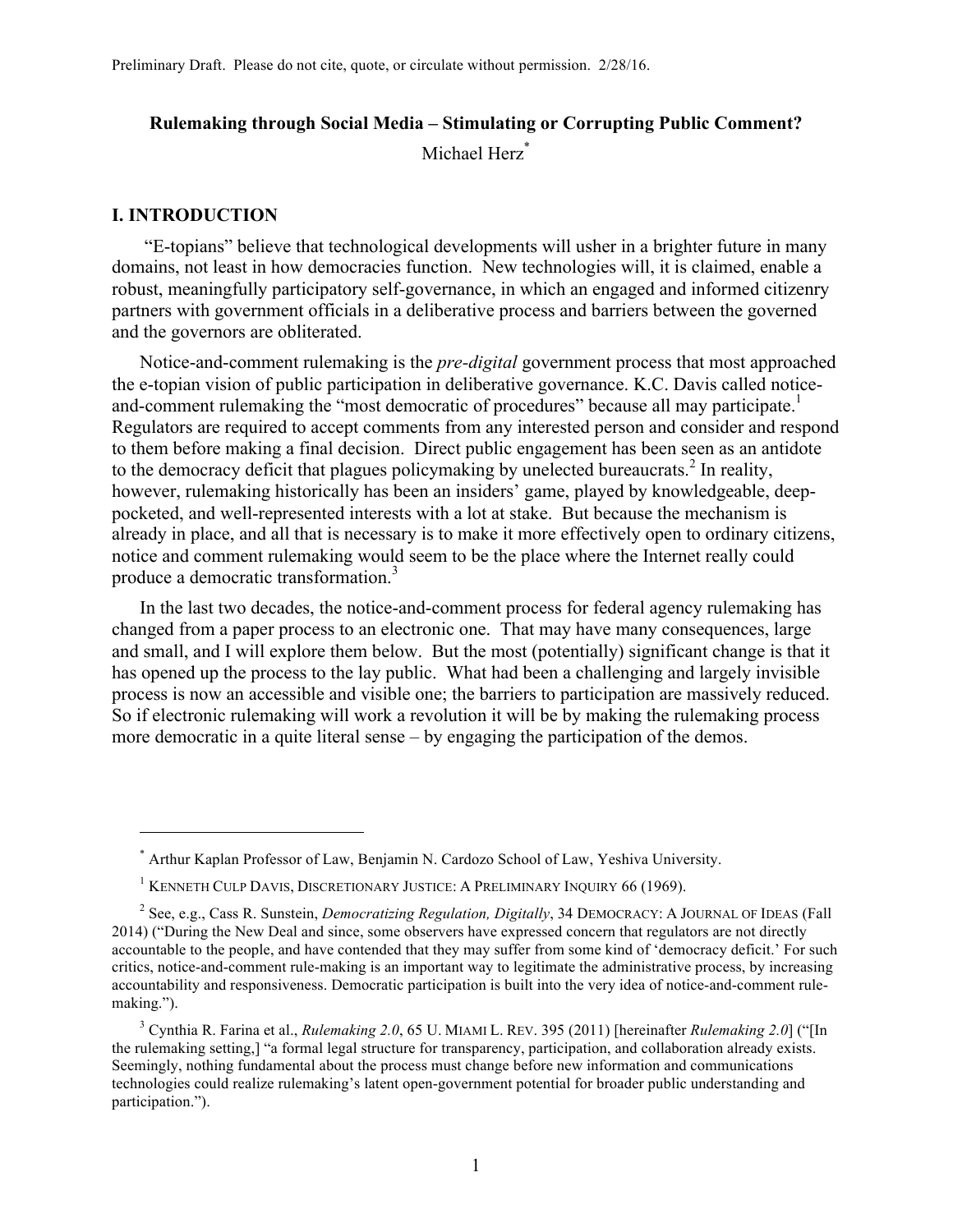# **Rulemaking through Social Media – Stimulating or Corrupting Public Comment?** Michael Herz<sup>\*</sup>

### **I. INTRODUCTION**

 $\overline{a}$ 

"E-topians" believe that technological developments will usher in a brighter future in many domains, not least in how democracies function. New technologies will, it is claimed, enable a robust, meaningfully participatory self-governance, in which an engaged and informed citizenry partners with government officials in a deliberative process and barriers between the governed and the governors are obliterated.

Notice-and-comment rulemaking is the *pre-digital* government process that most approached the e-topian vision of public participation in deliberative governance. K.C. Davis called noticeand-comment rulemaking the "most democratic of procedures" because all may participate.<sup>1</sup> Regulators are required to accept comments from any interested person and consider and respond to them before making a final decision. Direct public engagement has been seen as an antidote to the democracy deficit that plagues policymaking by unelected bureaucrats.<sup>2</sup> In reality, however, rulemaking historically has been an insiders' game, played by knowledgeable, deeppocketed, and well-represented interests with a lot at stake. But because the mechanism is already in place, and all that is necessary is to make it more effectively open to ordinary citizens, notice and comment rulemaking would seem to be the place where the Internet really could produce a democratic transformation.<sup>3</sup>

In the last two decades, the notice-and-comment process for federal agency rulemaking has changed from a paper process to an electronic one. That may have many consequences, large and small, and I will explore them below. But the most (potentially) significant change is that it has opened up the process to the lay public. What had been a challenging and largely invisible process is now an accessible and visible one; the barriers to participation are massively reduced. So if electronic rulemaking will work a revolution it will be by making the rulemaking process more democratic in a quite literal sense – by engaging the participation of the demos.

<sup>\*</sup> Arthur Kaplan Professor of Law, Benjamin N. Cardozo School of Law, Yeshiva University.

<sup>&</sup>lt;sup>1</sup> KENNETH CULP DAVIS, DISCRETIONARY JUSTICE: A PRELIMINARY INQUIRY 66 (1969).

<sup>2</sup> See, e.g., Cass R. Sunstein, *Democratizing Regulation, Digitally*, 34 DEMOCRACY: A JOURNAL OF IDEAS (Fall 2014) ("During the New Deal and since, some observers have expressed concern that regulators are not directly accountable to the people, and have contended that they may suffer from some kind of 'democracy deficit.' For such critics, notice-and-comment rule-making is an important way to legitimate the administrative process, by increasing accountability and responsiveness. Democratic participation is built into the very idea of notice-and-comment rulemaking.").

<sup>3</sup> Cynthia R. Farina et al., *Rulemaking 2.0*, 65 U. MIAMI L. REV. 395 (2011) [hereinafter *Rulemaking 2.0*] ("[In the rulemaking setting,] "a formal legal structure for transparency, participation, and collaboration already exists. Seemingly, nothing fundamental about the process must change before new information and communications technologies could realize rulemaking's latent open-government potential for broader public understanding and participation.").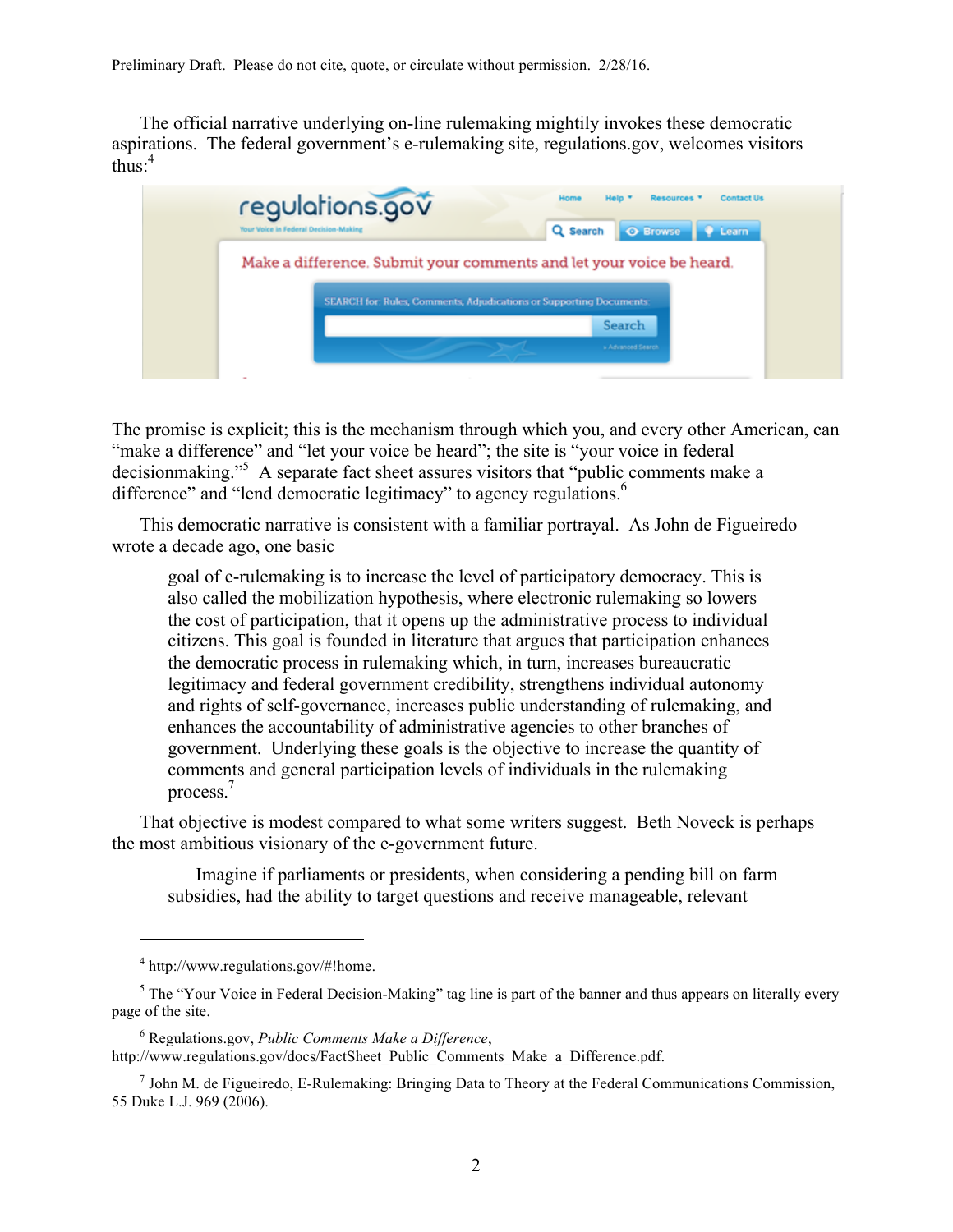The official narrative underlying on-line rulemaking mightily invokes these democratic aspirations. The federal government's e-rulemaking site, regulations.gov, welcomes visitors thus: $4$ 

| Your Voice in Federal Decision-Making | regulations.gov<br>Resources *<br><b>Contact Us</b><br>Home<br><b>Help</b><br><b>O</b> Browse<br>Q Search<br><b>C</b> Learn               |
|---------------------------------------|-------------------------------------------------------------------------------------------------------------------------------------------|
|                                       | Make a difference. Submit your comments and let your voice be heard.<br>SEARCH for Rules, Comments, Adjudications or Supporting Documents |
|                                       | Search<br>» Advanced Search                                                                                                               |
|                                       |                                                                                                                                           |

The promise is explicit; this is the mechanism through which you, and every other American, can "make a difference" and "let your voice be heard"; the site is "your voice in federal decisionmaking."<sup>5</sup> A separate fact sheet assures visitors that "public comments make a difference" and "lend democratic legitimacy" to agency regulations.<sup>6</sup>

This democratic narrative is consistent with a familiar portrayal. As John de Figueiredo wrote a decade ago, one basic

goal of e-rulemaking is to increase the level of participatory democracy. This is also called the mobilization hypothesis, where electronic rulemaking so lowers the cost of participation, that it opens up the administrative process to individual citizens. This goal is founded in literature that argues that participation enhances the democratic process in rulemaking which, in turn, increases bureaucratic legitimacy and federal government credibility, strengthens individual autonomy and rights of self-governance, increases public understanding of rulemaking, and enhances the accountability of administrative agencies to other branches of government. Underlying these goals is the objective to increase the quantity of comments and general participation levels of individuals in the rulemaking process.7

That objective is modest compared to what some writers suggest. Beth Noveck is perhaps the most ambitious visionary of the e-government future.

Imagine if parliaments or presidents, when considering a pending bill on farm subsidies, had the ability to target questions and receive manageable, relevant

<sup>4</sup> http://www.regulations.gov/#!home.

<sup>&</sup>lt;sup>5</sup> The "Your Voice in Federal Decision-Making" tag line is part of the banner and thus appears on literally every page of the site.

<sup>6</sup> Regulations.gov, *Public Comments Make a Difference*, http://www.regulations.gov/docs/FactSheet\_Public\_Comments\_Make\_a\_Difference.pdf.

 $<sup>7</sup>$  John M. de Figueiredo, E-Rulemaking: Bringing Data to Theory at the Federal Communications Commission,</sup> 55 Duke L.J. 969 (2006).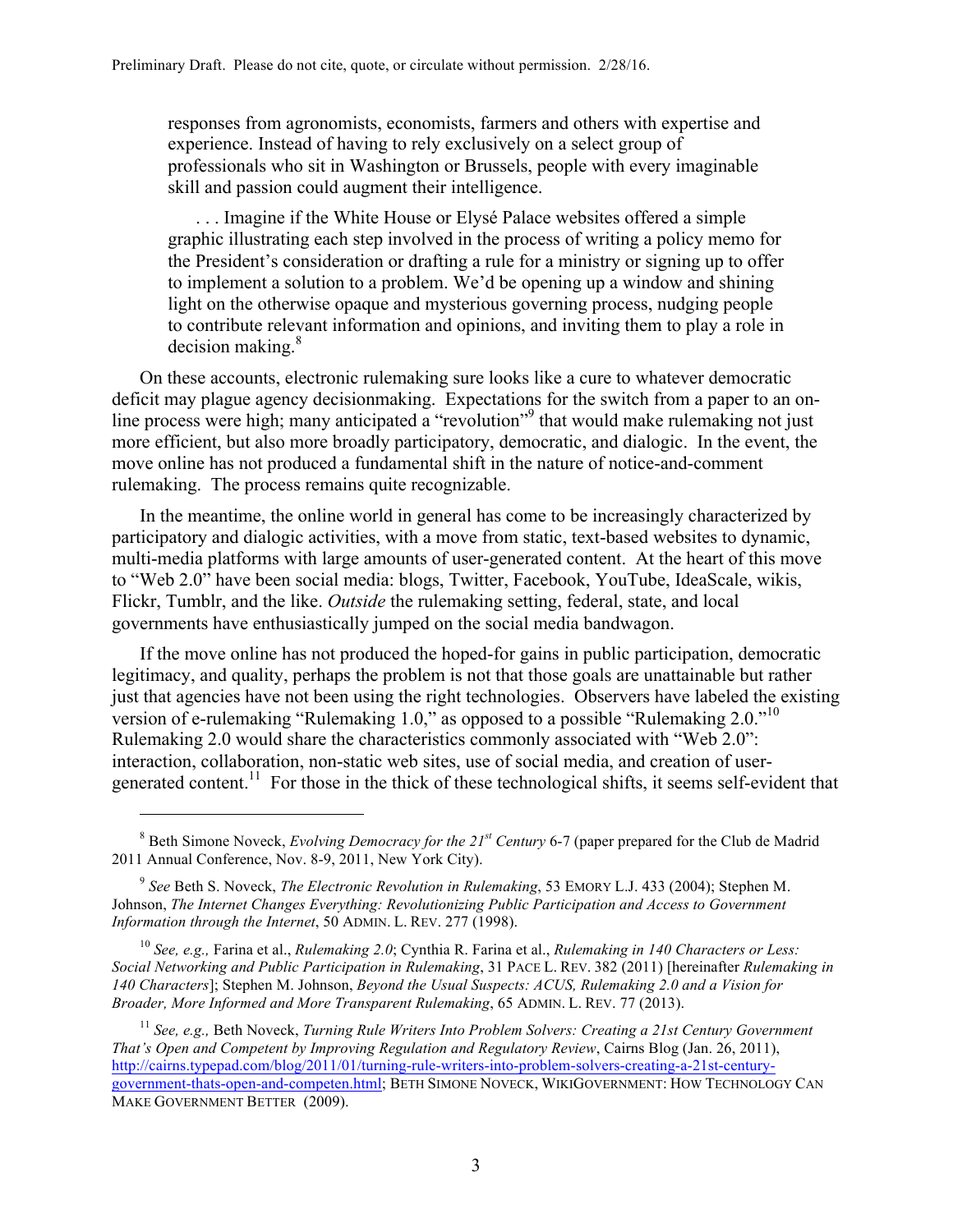responses from agronomists, economists, farmers and others with expertise and experience. Instead of having to rely exclusively on a select group of professionals who sit in Washington or Brussels, people with every imaginable skill and passion could augment their intelligence.

. . . Imagine if the White House or Elysé Palace websites offered a simple graphic illustrating each step involved in the process of writing a policy memo for the President's consideration or drafting a rule for a ministry or signing up to offer to implement a solution to a problem. We'd be opening up a window and shining light on the otherwise opaque and mysterious governing process, nudging people to contribute relevant information and opinions, and inviting them to play a role in decision making. $8<sup>8</sup>$ 

On these accounts, electronic rulemaking sure looks like a cure to whatever democratic deficit may plague agency decisionmaking. Expectations for the switch from a paper to an online process were high; many anticipated a "revolution"<sup>9</sup> that would make rulemaking not just more efficient, but also more broadly participatory, democratic, and dialogic. In the event, the move online has not produced a fundamental shift in the nature of notice-and-comment rulemaking. The process remains quite recognizable.

In the meantime, the online world in general has come to be increasingly characterized by participatory and dialogic activities, with a move from static, text-based websites to dynamic, multi-media platforms with large amounts of user-generated content. At the heart of this move to "Web 2.0" have been social media: blogs, Twitter, Facebook, YouTube, IdeaScale, wikis, Flickr, Tumblr, and the like. *Outside* the rulemaking setting, federal, state, and local governments have enthusiastically jumped on the social media bandwagon.

If the move online has not produced the hoped-for gains in public participation, democratic legitimacy, and quality, perhaps the problem is not that those goals are unattainable but rather just that agencies have not been using the right technologies. Observers have labeled the existing version of e-rulemaking "Rulemaking 1.0," as opposed to a possible "Rulemaking 2.0."<sup>10</sup> Rulemaking 2.0 would share the characteristics commonly associated with "Web 2.0": interaction, collaboration, non-static web sites, use of social media, and creation of usergenerated content.<sup>11</sup> For those in the thick of these technological shifts, it seems self-evident that

 $\overline{a}$ 

<sup>10</sup> *See, e.g.,* Farina et al., *Rulemaking 2.0*; Cynthia R. Farina et al., *Rulemaking in 140 Characters or Less: Social Networking and Public Participation in Rulemaking*, 31 PACE L. REV. 382 (2011) [hereinafter *Rulemaking in 140 Characters*]; Stephen M. Johnson, *Beyond the Usual Suspects: ACUS, Rulemaking 2.0 and a Vision for Broader, More Informed and More Transparent Rulemaking*, 65 ADMIN. L. REV. 77 (2013).

<sup>11</sup> *See, e.g.,* Beth Noveck, *Turning Rule Writers Into Problem Solvers: Creating a 21st Century Government That's Open and Competent by Improving Regulation and Regulatory Review*, Cairns Blog (Jan. 26, 2011), http://cairns.typepad.com/blog/2011/01/turning-rule-writers-into-problem-solvers-creating-a-21st-centurygovernment-thats-open-and-competen.html; BETH SIMONE NOVECK, WIKIGOVERNMENT: HOW TECHNOLOGY CAN MAKE GOVERNMENT BETTER (2009).

<sup>8</sup> Beth Simone Noveck, *Evolving Democracy for the 21st Century* 6-7 (paper prepared for the Club de Madrid 2011 Annual Conference, Nov. 8-9, 2011, New York City).

<sup>9</sup> *See* Beth S. Noveck, *The Electronic Revolution in Rulemaking*, 53 EMORY L.J. 433 (2004); Stephen M. Johnson, *The Internet Changes Everything: Revolutionizing Public Participation and Access to Government Information through the Internet*, 50 ADMIN. L. REV. 277 (1998).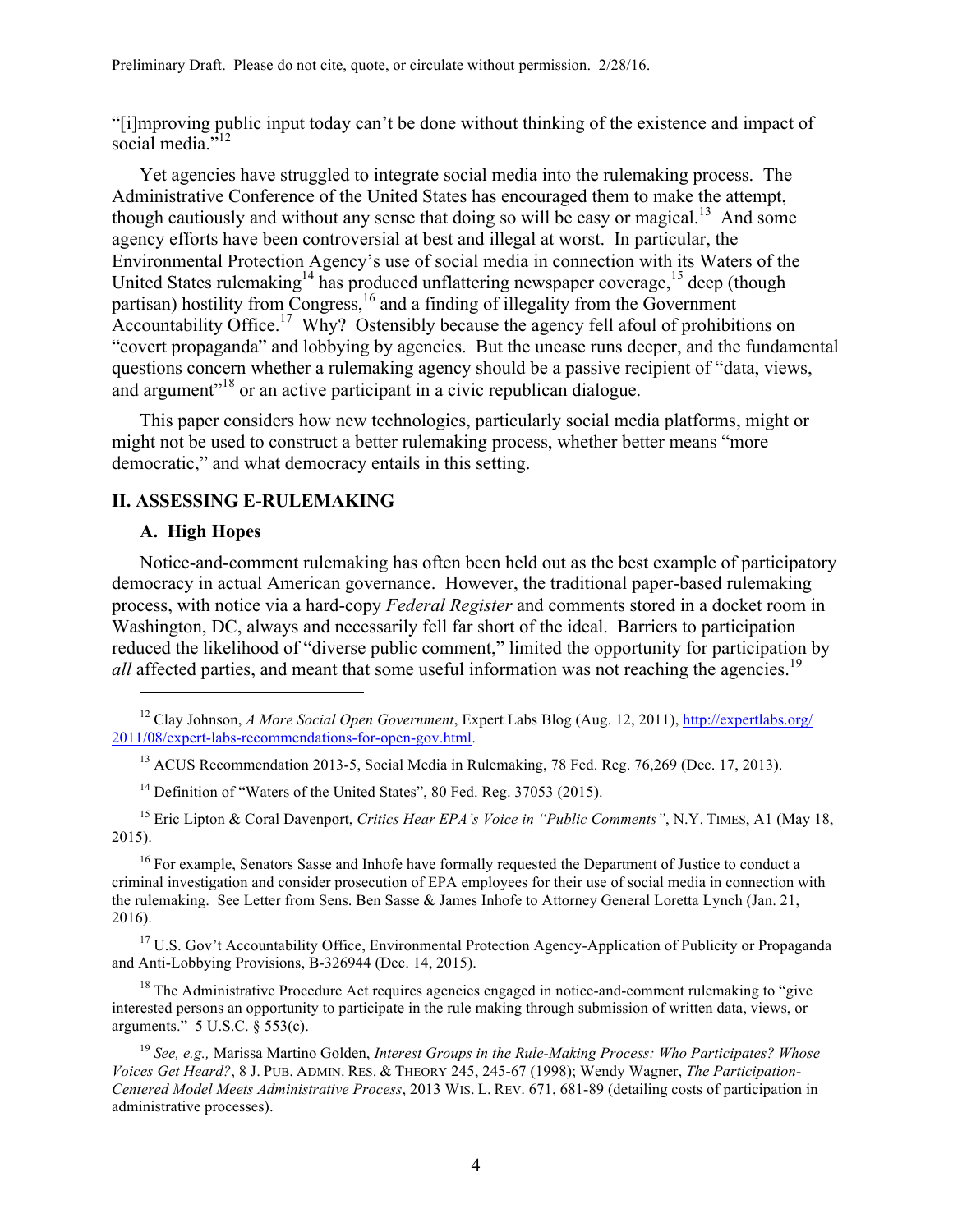"[i]mproving public input today can't be done without thinking of the existence and impact of social media<sup>"12</sup>

Yet agencies have struggled to integrate social media into the rulemaking process. The Administrative Conference of the United States has encouraged them to make the attempt, though cautiously and without any sense that doing so will be easy or magical.<sup>13</sup> And some agency efforts have been controversial at best and illegal at worst. In particular, the Environmental Protection Agency's use of social media in connection with its Waters of the United States rulemaking<sup>14</sup> has produced unflattering newspaper coverage,<sup>15</sup> deep (though partisan) hostility from Congress,<sup>16</sup> and a finding of illegality from the Government Accountability Office.<sup>17</sup> Why? Ostensibly because the agency fell afoul of prohibitions on "covert propaganda" and lobbying by agencies. But the unease runs deeper, and the fundamental questions concern whether a rulemaking agency should be a passive recipient of "data, views, and argument"<sup>18</sup> or an active participant in a civic republican dialogue.

This paper considers how new technologies, particularly social media platforms, might or might not be used to construct a better rulemaking process, whether better means "more democratic," and what democracy entails in this setting.

# **II. ASSESSING E-RULEMAKING**

#### **A. High Hopes**

 $\overline{a}$ 

Notice-and-comment rulemaking has often been held out as the best example of participatory democracy in actual American governance. However, the traditional paper-based rulemaking process, with notice via a hard-copy *Federal Register* and comments stored in a docket room in Washington, DC, always and necessarily fell far short of the ideal. Barriers to participation reduced the likelihood of "diverse public comment," limited the opportunity for participation by all affected parties, and meant that some useful information was not reaching the agencies.<sup>19</sup>

<sup>13</sup> ACUS Recommendation 2013-5, Social Media in Rulemaking, 78 Fed. Reg. 76,269 (Dec. 17, 2013).

<sup>14</sup> Definition of "Waters of the United States", 80 Fed. Reg. 37053 (2015).

<sup>15</sup> Eric Lipton & Coral Davenport, *Critics Hear EPA's Voice in "Public Comments"*, N.Y. TIMES, A1 (May 18, 2015).

<sup>16</sup> For example, Senators Sasse and Inhofe have formally requested the Department of Justice to conduct a criminal investigation and consider prosecution of EPA employees for their use of social media in connection with the rulemaking. See Letter from Sens. Ben Sasse & James Inhofe to Attorney General Loretta Lynch (Jan. 21, 2016).

<sup>17</sup> U.S. Gov't Accountability Office, Environmental Protection Agency-Application of Publicity or Propaganda and Anti-Lobbying Provisions, B-326944 (Dec. 14, 2015).

 $18$  The Administrative Procedure Act requires agencies engaged in notice-and-comment rulemaking to "give" interested persons an opportunity to participate in the rule making through submission of written data, views, or arguments." 5 U.S.C. § 553(c).

<sup>19</sup> *See, e.g.,* Marissa Martino Golden, *Interest Groups in the Rule-Making Process: Who Participates? Whose Voices Get Heard?*, 8 J. PUB. ADMIN. RES. & THEORY 245, 245-67 (1998); Wendy Wagner, *The Participation-Centered Model Meets Administrative Process*, 2013 WIS. L. REV. 671, 681-89 (detailing costs of participation in administrative processes).

<sup>12</sup> Clay Johnson, *A More Social Open Government*, Expert Labs Blog (Aug. 12, 2011), http://expertlabs.org/ 2011/08/expert-labs-recommendations-for-open-gov.html.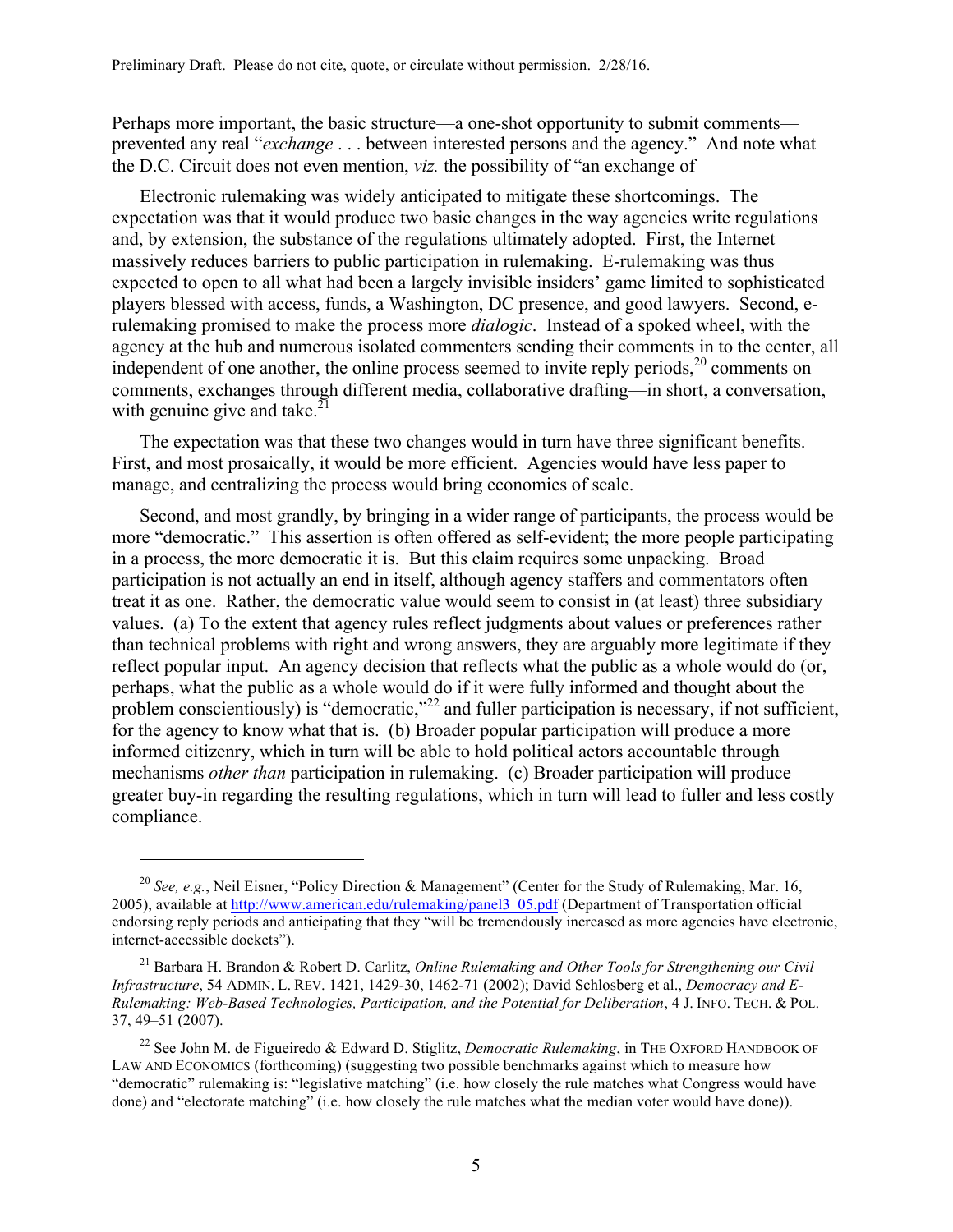Perhaps more important, the basic structure—a one-shot opportunity to submit comments prevented any real "*exchange* . . . between interested persons and the agency." And note what the D.C. Circuit does not even mention, *viz.* the possibility of "an exchange of

Electronic rulemaking was widely anticipated to mitigate these shortcomings. The expectation was that it would produce two basic changes in the way agencies write regulations and, by extension, the substance of the regulations ultimately adopted. First, the Internet massively reduces barriers to public participation in rulemaking. E-rulemaking was thus expected to open to all what had been a largely invisible insiders' game limited to sophisticated players blessed with access, funds, a Washington, DC presence, and good lawyers. Second, erulemaking promised to make the process more *dialogic*. Instead of a spoked wheel, with the agency at the hub and numerous isolated commenters sending their comments in to the center, all independent of one another, the online process seemed to invite reply periods, $2^{\circ}$  comments on comments, exchanges through different media, collaborative drafting—in short, a conversation, with genuine give and take. $^{21}$ 

The expectation was that these two changes would in turn have three significant benefits. First, and most prosaically, it would be more efficient. Agencies would have less paper to manage, and centralizing the process would bring economies of scale.

Second, and most grandly, by bringing in a wider range of participants, the process would be more "democratic." This assertion is often offered as self-evident; the more people participating in a process, the more democratic it is. But this claim requires some unpacking. Broad participation is not actually an end in itself, although agency staffers and commentators often treat it as one. Rather, the democratic value would seem to consist in (at least) three subsidiary values. (a) To the extent that agency rules reflect judgments about values or preferences rather than technical problems with right and wrong answers, they are arguably more legitimate if they reflect popular input. An agency decision that reflects what the public as a whole would do (or, perhaps, what the public as a whole would do if it were fully informed and thought about the problem conscientiously) is "democratic,"<sup>22</sup> and fuller participation is necessary, if not sufficient, for the agency to know what that is. (b) Broader popular participation will produce a more informed citizenry, which in turn will be able to hold political actors accountable through mechanisms *other than* participation in rulemaking. (c) Broader participation will produce greater buy-in regarding the resulting regulations, which in turn will lead to fuller and less costly compliance.

<sup>&</sup>lt;sup>20</sup> See, e.g., Neil Eisner, "Policy Direction & Management" (Center for the Study of Rulemaking, Mar. 16, 2005), available at http://www.american.edu/rulemaking/panel3\_05.pdf (Department of Transportation official endorsing reply periods and anticipating that they "will be tremendously increased as more agencies have electronic, internet-accessible dockets").

<sup>21</sup> Barbara H. Brandon & Robert D. Carlitz, *Online Rulemaking and Other Tools for Strengthening our Civil Infrastructure*, 54 ADMIN. L. REV. 1421, 1429-30, 1462-71 (2002); David Schlosberg et al., *Democracy and E-Rulemaking: Web-Based Technologies, Participation, and the Potential for Deliberation*, 4 J. INFO. TECH. & POL. 37, 49–51 (2007).

<sup>22</sup> See John M. de Figueiredo & Edward D. Stiglitz, *Democratic Rulemaking*, in THE OXFORD HANDBOOK OF LAW AND ECONOMICS (forthcoming) (suggesting two possible benchmarks against which to measure how "democratic" rulemaking is: "legislative matching" (i.e. how closely the rule matches what Congress would have done) and "electorate matching" (i.e. how closely the rule matches what the median voter would have done)).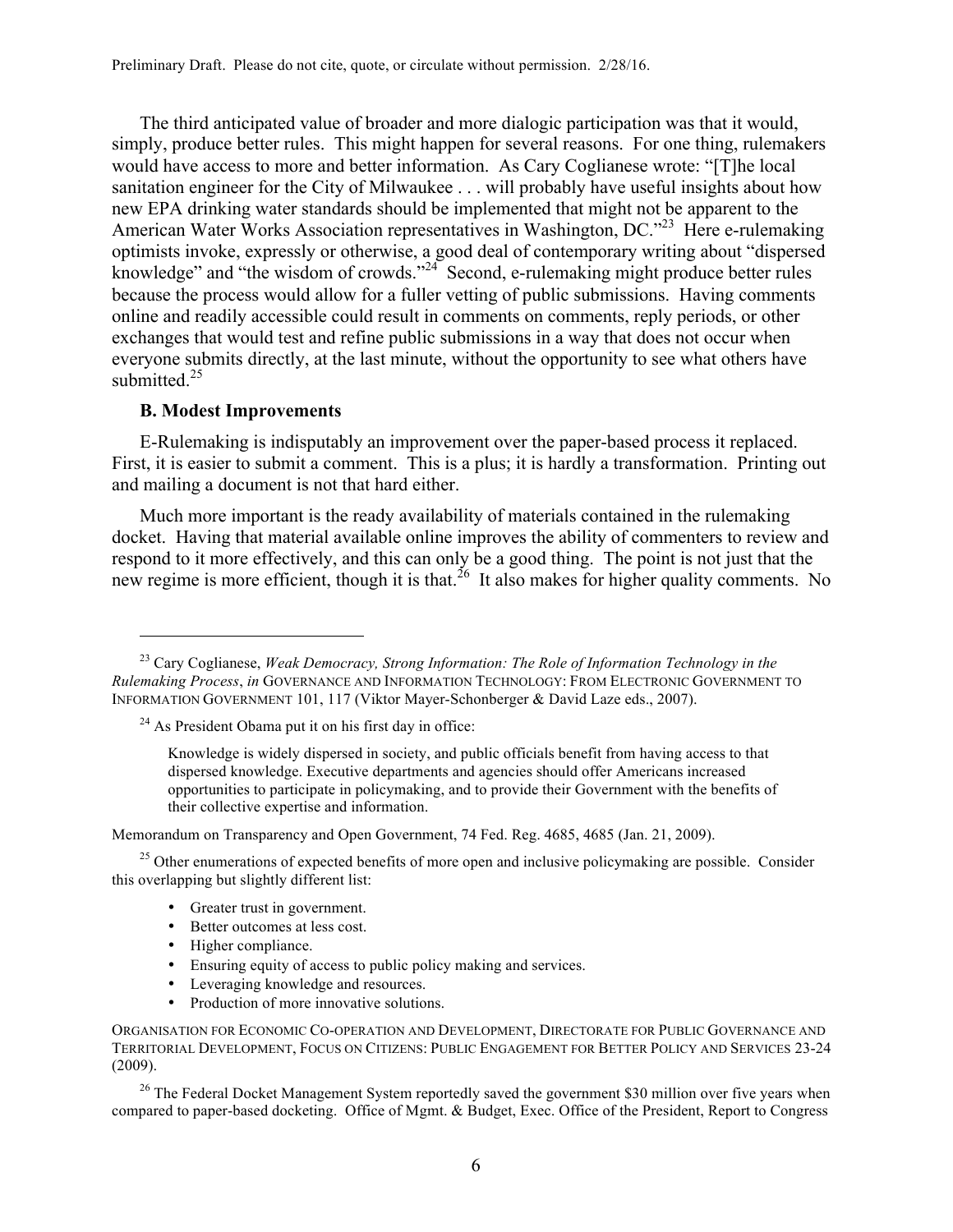The third anticipated value of broader and more dialogic participation was that it would, simply, produce better rules. This might happen for several reasons. For one thing, rulemakers would have access to more and better information. As Cary Coglianese wrote: "[T]he local sanitation engineer for the City of Milwaukee . . . will probably have useful insights about how new EPA drinking water standards should be implemented that might not be apparent to the American Water Works Association representatives in Washington, DC.<sup>223</sup> Here e-rulemaking optimists invoke, expressly or otherwise, a good deal of contemporary writing about "dispersed knowledge" and "the wisdom of crowds."<sup>24</sup> Second, e-rulemaking might produce better rules because the process would allow for a fuller vetting of public submissions. Having comments online and readily accessible could result in comments on comments, reply periods, or other exchanges that would test and refine public submissions in a way that does not occur when everyone submits directly, at the last minute, without the opportunity to see what others have submitted. $25$ 

### **B. Modest Improvements**

 $\overline{a}$ 

E-Rulemaking is indisputably an improvement over the paper-based process it replaced. First, it is easier to submit a comment. This is a plus; it is hardly a transformation. Printing out and mailing a document is not that hard either.

Much more important is the ready availability of materials contained in the rulemaking docket. Having that material available online improves the ability of commenters to review and respond to it more effectively, and this can only be a good thing. The point is not just that the new regime is more efficient, though it is that.<sup>26</sup> It also makes for higher quality comments. No

Memorandum on Transparency and Open Government, 74 Fed. Reg. 4685, 4685 (Jan. 21, 2009).

 $^{25}$  Other enumerations of expected benefits of more open and inclusive policymaking are possible. Consider this overlapping but slightly different list:

- Greater trust in government.
- Better outcomes at less cost.
- Higher compliance.
- Ensuring equity of access to public policy making and services.
- Leveraging knowledge and resources.
- Production of more innovative solutions.

 $26$  The Federal Docket Management System reportedly saved the government \$30 million over five years when compared to paper-based docketing. Office of Mgmt. & Budget, Exec. Office of the President, Report to Congress

<sup>23</sup> Cary Coglianese, *Weak Democracy, Strong Information: The Role of Information Technology in the Rulemaking Process*, *in* GOVERNANCE AND INFORMATION TECHNOLOGY: FROM ELECTRONIC GOVERNMENT TO INFORMATION GOVERNMENT 101, 117 (Viktor Mayer-Schonberger & David Laze eds., 2007).

 $24$  As President Obama put it on his first day in office:

Knowledge is widely dispersed in society, and public officials benefit from having access to that dispersed knowledge. Executive departments and agencies should offer Americans increased opportunities to participate in policymaking, and to provide their Government with the benefits of their collective expertise and information.

ORGANISATION FOR ECONOMIC CO-OPERATION AND DEVELOPMENT, DIRECTORATE FOR PUBLIC GOVERNANCE AND TERRITORIAL DEVELOPMENT, FOCUS ON CITIZENS: PUBLIC ENGAGEMENT FOR BETTER POLICY AND SERVICES 23-24 (2009).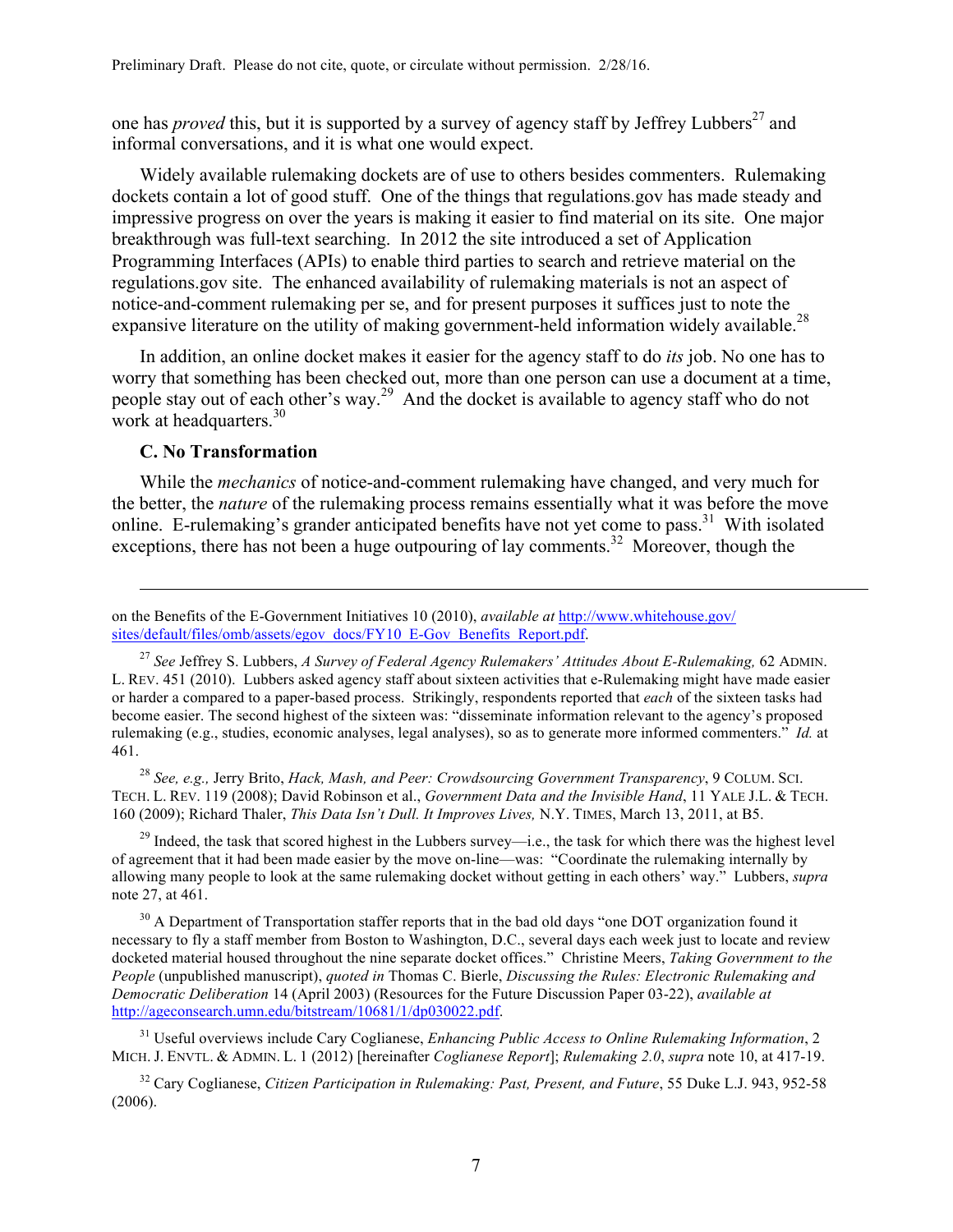one has *proved* this, but it is supported by a survey of agency staff by Jeffrey Lubbers<sup>27</sup> and informal conversations, and it is what one would expect.

Widely available rulemaking dockets are of use to others besides commenters. Rulemaking dockets contain a lot of good stuff. One of the things that regulations.gov has made steady and impressive progress on over the years is making it easier to find material on its site. One major breakthrough was full-text searching. In 2012 the site introduced a set of Application Programming Interfaces (APIs) to enable third parties to search and retrieve material on the regulations.gov site. The enhanced availability of rulemaking materials is not an aspect of notice-and-comment rulemaking per se, and for present purposes it suffices just to note the expansive literature on the utility of making government-held information widely available.<sup>28</sup>

In addition, an online docket makes it easier for the agency staff to do *its* job. No one has to worry that something has been checked out, more than one person can use a document at a time, people stay out of each other's way.29 And the docket is available to agency staff who do not work at headquarters. $30$ 

# **C. No Transformation**

<u>.</u>

While the *mechanics* of notice-and-comment rulemaking have changed, and very much for the better, the *nature* of the rulemaking process remains essentially what it was before the move online. E-rulemaking's grander anticipated benefits have not yet come to pass.<sup>31</sup> With isolated exceptions, there has not been a huge outpouring of lay comments.<sup>32</sup> Moreover, though the

<sup>27</sup> See Jeffrey S. Lubbers, *A Survey of Federal Agency Rulemakers' Attitudes About E-Rulemaking, 62 ADMIN.* L. REV. 451 (2010). Lubbers asked agency staff about sixteen activities that e-Rulemaking might have made easier or harder a compared to a paper-based process. Strikingly, respondents reported that *each* of the sixteen tasks had become easier. The second highest of the sixteen was: "disseminate information relevant to the agency's proposed rulemaking (e.g., studies, economic analyses, legal analyses), so as to generate more informed commenters." *Id.* at 461.

<sup>28</sup> *See, e.g.,* Jerry Brito, *Hack, Mash, and Peer: Crowdsourcing Government Transparency*, 9 COLUM. SCI. TECH. L. REV. 119 (2008); David Robinson et al., *Government Data and the Invisible Hand*, 11 YALE J.L. & TECH. 160 (2009); Richard Thaler, *This Data Isn't Dull. It Improves Lives,* N.Y. TIMES, March 13, 2011, at B5.

 $^{29}$  Indeed, the task that scored highest in the Lubbers survey—i.e., the task for which there was the highest level of agreement that it had been made easier by the move on-line—was: "Coordinate the rulemaking internally by allowing many people to look at the same rulemaking docket without getting in each others' way." Lubbers, *supra*  note 27, at 461.

 $30$  A Department of Transportation staffer reports that in the bad old days "one DOT organization found it necessary to fly a staff member from Boston to Washington, D.C., several days each week just to locate and review docketed material housed throughout the nine separate docket offices." Christine Meers, *Taking Government to the People* (unpublished manuscript), *quoted in* Thomas C. Bierle, *Discussing the Rules: Electronic Rulemaking and Democratic Deliberation* 14 (April 2003) (Resources for the Future Discussion Paper 03-22), *available at* http://ageconsearch.umn.edu/bitstream/10681/1/dp030022.pdf.

<sup>31</sup> Useful overviews include Cary Coglianese, *Enhancing Public Access to Online Rulemaking Information*, 2 MICH. J. ENVTL. & ADMIN. L. 1 (2012) [hereinafter *Coglianese Report*]; *Rulemaking 2.0*, *supra* note 10, at 417-19.

<sup>32</sup> Cary Coglianese, *Citizen Participation in Rulemaking: Past, Present, and Future*, 55 Duke L.J. 943, 952-58 (2006).

on the Benefits of the E-Government Initiatives 10 (2010), *available at* http://www.whitehouse.gov/ sites/default/files/omb/assets/egov\_docs/FY10\_E-Gov\_Benefits\_Report.pdf.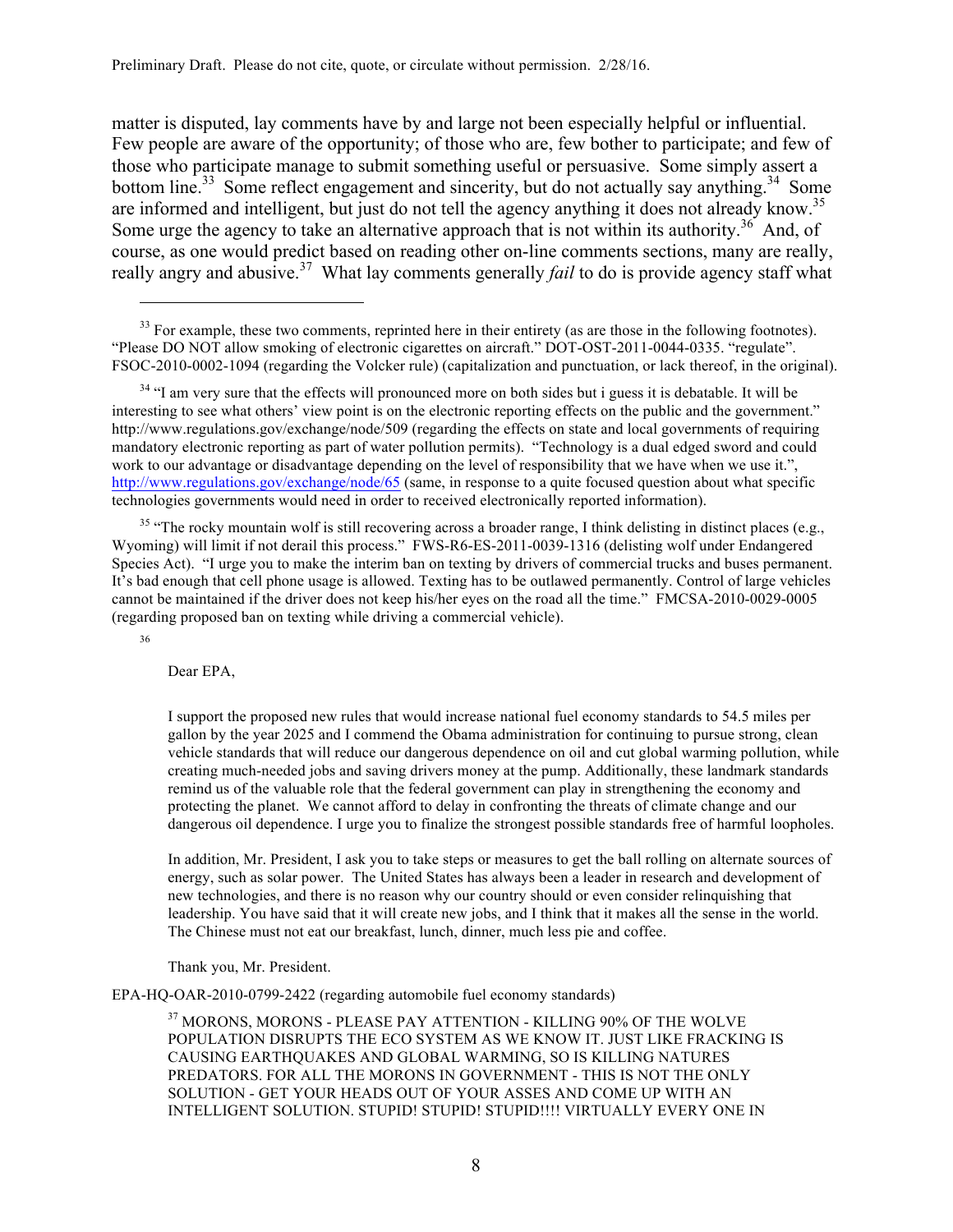Preliminary Draft. Please do not cite, quote, or circulate without permission. 2/28/16.

matter is disputed, lay comments have by and large not been especially helpful or influential. Few people are aware of the opportunity; of those who are, few bother to participate; and few of those who participate manage to submit something useful or persuasive. Some simply assert a bottom line.<sup>33</sup> Some reflect engagement and sincerity, but do not actually say anything.<sup>34</sup> Some are informed and intelligent, but just do not tell the agency anything it does not already know.<sup>35</sup> Some urge the agency to take an alternative approach that is not within its authority.<sup>36</sup> And, of course, as one would predict based on reading other on-line comments sections, many are really, really angry and abusive.<sup>37</sup> What lay comments generally *fail* to do is provide agency staff what

 $33$  For example, these two comments, reprinted here in their entirety (as are those in the following footnotes). "Please DO NOT allow smoking of electronic cigarettes on aircraft." DOT-OST-2011-0044-0335. "regulate". FSOC-2010-0002-1094 (regarding the Volcker rule) (capitalization and punctuation, or lack thereof, in the original).

<sup>34</sup> "I am very sure that the effects will pronounced more on both sides but i guess it is debatable. It will be interesting to see what others' view point is on the electronic reporting effects on the public and the government." http://www.regulations.gov/exchange/node/509 (regarding the effects on state and local governments of requiring mandatory electronic reporting as part of water pollution permits). "Technology is a dual edged sword and could work to our advantage or disadvantage depending on the level of responsibility that we have when we use it.", http://www.regulations.gov/exchange/node/65 (same, in response to a quite focused question about what specific technologies governments would need in order to received electronically reported information).

<sup>35</sup> "The rocky mountain wolf is still recovering across a broader range, I think delisting in distinct places (e.g., Wyoming) will limit if not derail this process." FWS-R6-ES-2011-0039-1316 (delisting wolf under Endangered Species Act). "I urge you to make the interim ban on texting by drivers of commercial trucks and buses permanent. It's bad enough that cell phone usage is allowed. Texting has to be outlawed permanently. Control of large vehicles cannot be maintained if the driver does not keep his/her eyes on the road all the time." FMCSA-2010-0029-0005 (regarding proposed ban on texting while driving a commercial vehicle).

36

 $\overline{a}$ 

Dear EPA,

I support the proposed new rules that would increase national fuel economy standards to 54.5 miles per gallon by the year 2025 and I commend the Obama administration for continuing to pursue strong, clean vehicle standards that will reduce our dangerous dependence on oil and cut global warming pollution, while creating much-needed jobs and saving drivers money at the pump. Additionally, these landmark standards remind us of the valuable role that the federal government can play in strengthening the economy and protecting the planet. We cannot afford to delay in confronting the threats of climate change and our dangerous oil dependence. I urge you to finalize the strongest possible standards free of harmful loopholes.

In addition, Mr. President, I ask you to take steps or measures to get the ball rolling on alternate sources of energy, such as solar power. The United States has always been a leader in research and development of new technologies, and there is no reason why our country should or even consider relinquishing that leadership. You have said that it will create new jobs, and I think that it makes all the sense in the world. The Chinese must not eat our breakfast, lunch, dinner, much less pie and coffee.

Thank you, Mr. President.

EPA-HQ-OAR-2010-0799-2422 (regarding automobile fuel economy standards)

 $^{37}$  MORONS, MORONS - PLEASE PAY ATTENTION - KILLING 90% OF THE WOLVE POPULATION DISRUPTS THE ECO SYSTEM AS WE KNOW IT. JUST LIKE FRACKING IS CAUSING EARTHQUAKES AND GLOBAL WARMING, SO IS KILLING NATURES PREDATORS. FOR ALL THE MORONS IN GOVERNMENT - THIS IS NOT THE ONLY SOLUTION - GET YOUR HEADS OUT OF YOUR ASSES AND COME UP WITH AN INTELLIGENT SOLUTION. STUPID! STUPID! STUPID!!!! VIRTUALLY EVERY ONE IN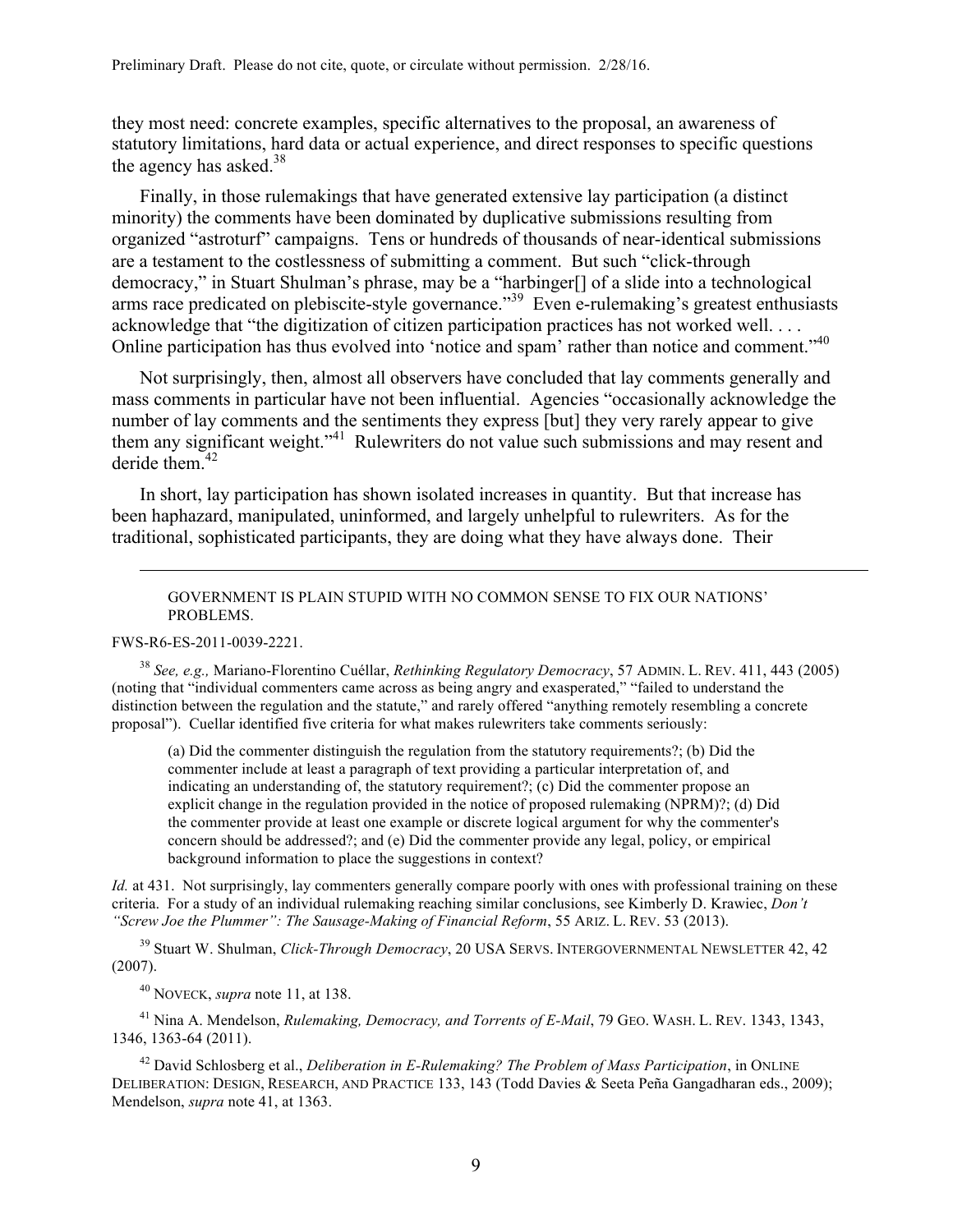they most need: concrete examples, specific alternatives to the proposal, an awareness of statutory limitations, hard data or actual experience, and direct responses to specific questions the agency has asked. $38$ 

Finally, in those rulemakings that have generated extensive lay participation (a distinct minority) the comments have been dominated by duplicative submissions resulting from organized "astroturf" campaigns. Tens or hundreds of thousands of near-identical submissions are a testament to the costlessness of submitting a comment. But such "click-through democracy," in Stuart Shulman's phrase, may be a "harbinger[] of a slide into a technological arms race predicated on plebiscite-style governance."39 Even e-rulemaking's greatest enthusiasts acknowledge that "the digitization of citizen participation practices has not worked well. . . . Online participation has thus evolved into 'notice and spam' rather than notice and comment."<sup>40</sup>

Not surprisingly, then, almost all observers have concluded that lay comments generally and mass comments in particular have not been influential. Agencies "occasionally acknowledge the number of lay comments and the sentiments they express [but] they very rarely appear to give them any significant weight."<sup>41</sup> Rulewriters do not value such submissions and may resent and deride them $42$ 

In short, lay participation has shown isolated increases in quantity. But that increase has been haphazard, manipulated, uninformed, and largely unhelpful to rulewriters. As for the traditional, sophisticated participants, they are doing what they have always done. Their

#### GOVERNMENT IS PLAIN STUPID WITH NO COMMON SENSE TO FIX OUR NATIONS' PROBLEMS.

FWS-R6-ES-2011-0039-2221.

<u>.</u>

<sup>38</sup> *See, e.g.,* Mariano-Florentino Cuéllar, *Rethinking Regulatory Democracy*, 57 ADMIN. L. REV. 411, 443 (2005) (noting that "individual commenters came across as being angry and exasperated," "failed to understand the distinction between the regulation and the statute," and rarely offered "anything remotely resembling a concrete proposal"). Cuellar identified five criteria for what makes rulewriters take comments seriously:

(a) Did the commenter distinguish the regulation from the statutory requirements?; (b) Did the commenter include at least a paragraph of text providing a particular interpretation of, and indicating an understanding of, the statutory requirement?; (c) Did the commenter propose an explicit change in the regulation provided in the notice of proposed rulemaking (NPRM)?; (d) Did the commenter provide at least one example or discrete logical argument for why the commenter's concern should be addressed?; and (e) Did the commenter provide any legal, policy, or empirical background information to place the suggestions in context?

*Id.* at 431. Not surprisingly, lay commenters generally compare poorly with ones with professional training on these criteria. For a study of an individual rulemaking reaching similar conclusions, see Kimberly D. Krawiec, *Don't "Screw Joe the Plummer": The Sausage-Making of Financial Reform*, 55 ARIZ. L. REV. 53 (2013).

<sup>39</sup> Stuart W. Shulman, *Click-Through Democracy*, 20 USA SERVS. INTERGOVERNMENTAL NEWSLETTER 42, 42 (2007).

<sup>40</sup> NOVECK, *supra* note 11, at 138.

<sup>41</sup> Nina A. Mendelson, *Rulemaking, Democracy, and Torrents of E-Mail*, 79 GEO. WASH. L. REV. 1343, 1343, 1346, 1363-64 (2011).

<sup>42</sup> David Schlosberg et al., *Deliberation in E-Rulemaking? The Problem of Mass Participation*, in ONLINE DELIBERATION: DESIGN, RESEARCH, AND PRACTICE 133, 143 (Todd Davies & Seeta Peña Gangadharan eds., 2009); Mendelson, *supra* note 41, at 1363.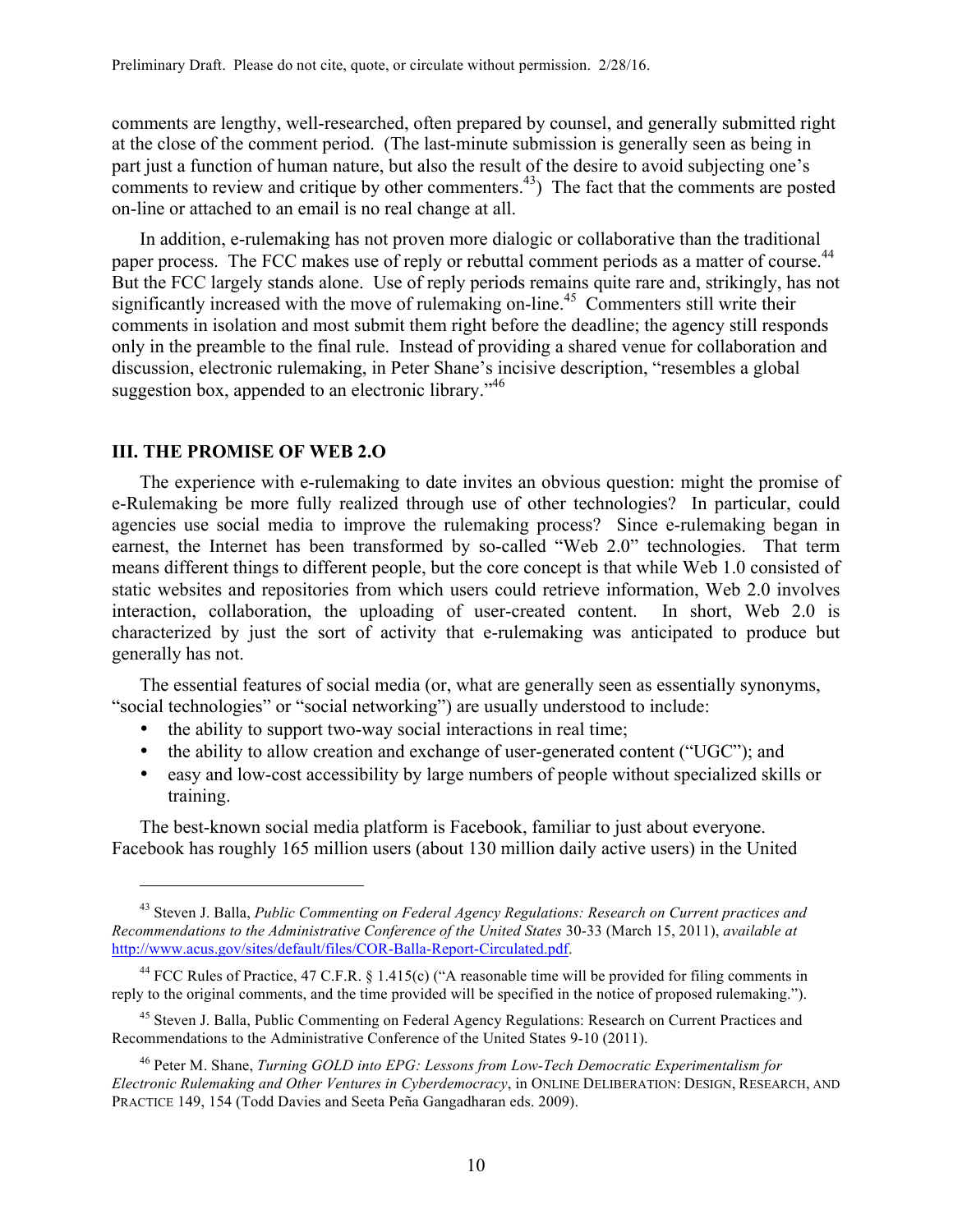comments are lengthy, well-researched, often prepared by counsel, and generally submitted right at the close of the comment period. (The last-minute submission is generally seen as being in part just a function of human nature, but also the result of the desire to avoid subjecting one's comments to review and critique by other commenters.<sup>43</sup>) The fact that the comments are posted on-line or attached to an email is no real change at all.

In addition, e-rulemaking has not proven more dialogic or collaborative than the traditional paper process. The FCC makes use of reply or rebuttal comment periods as a matter of course.<sup>44</sup> But the FCC largely stands alone. Use of reply periods remains quite rare and, strikingly, has not significantly increased with the move of rulemaking on-line.<sup>45</sup> Commenters still write their comments in isolation and most submit them right before the deadline; the agency still responds only in the preamble to the final rule. Instead of providing a shared venue for collaboration and discussion, electronic rulemaking, in Peter Shane's incisive description, "resembles a global suggestion box, appended to an electronic library.<sup>46</sup>

#### **III. THE PROMISE OF WEB 2.O**

 $\overline{a}$ 

The experience with e-rulemaking to date invites an obvious question: might the promise of e-Rulemaking be more fully realized through use of other technologies? In particular, could agencies use social media to improve the rulemaking process? Since e-rulemaking began in earnest, the Internet has been transformed by so-called "Web 2.0" technologies. That term means different things to different people, but the core concept is that while Web 1.0 consisted of static websites and repositories from which users could retrieve information, Web 2.0 involves interaction, collaboration, the uploading of user-created content. In short, Web 2.0 is characterized by just the sort of activity that e-rulemaking was anticipated to produce but generally has not.

The essential features of social media (or, what are generally seen as essentially synonyms, "social technologies" or "social networking") are usually understood to include:

- the ability to support two-way social interactions in real time;
- the ability to allow creation and exchange of user-generated content ("UGC"); and
- easy and low-cost accessibility by large numbers of people without specialized skills or training.

The best-known social media platform is Facebook, familiar to just about everyone. Facebook has roughly 165 million users (about 130 million daily active users) in the United

<sup>43</sup> Steven J. Balla, *Public Commenting on Federal Agency Regulations: Research on Current practices and Recommendations to the Administrative Conference of the United States* 30-33 (March 15, 2011), *available at*  http://www.acus.gov/sites/default/files/COR-Balla-Report-Circulated.pdf.

<sup>&</sup>lt;sup>44</sup> FCC Rules of Practice, 47 C.F.R. § 1.415(c) ("A reasonable time will be provided for filing comments in reply to the original comments, and the time provided will be specified in the notice of proposed rulemaking.").

<sup>45</sup> Steven J. Balla, Public Commenting on Federal Agency Regulations: Research on Current Practices and Recommendations to the Administrative Conference of the United States 9-10 (2011).

<sup>46</sup> Peter M. Shane, *Turning GOLD into EPG: Lessons from Low-Tech Democratic Experimentalism for Electronic Rulemaking and Other Ventures in Cyberdemocracy*, in ONLINE DELIBERATION: DESIGN, RESEARCH, AND PRACTICE 149, 154 (Todd Davies and Seeta Peña Gangadharan eds. 2009).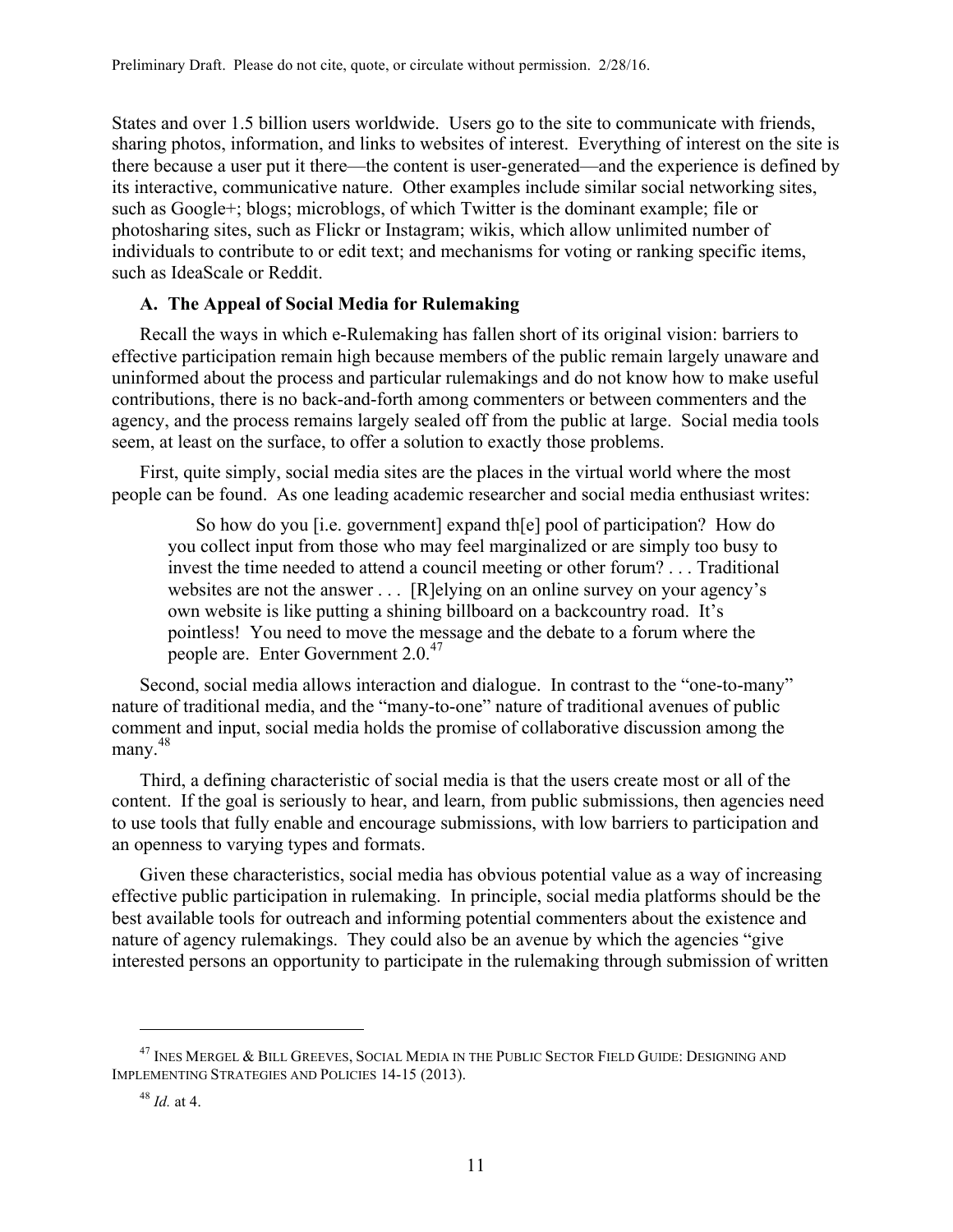States and over 1.5 billion users worldwide. Users go to the site to communicate with friends, sharing photos, information, and links to websites of interest. Everything of interest on the site is there because a user put it there—the content is user-generated—and the experience is defined by its interactive, communicative nature. Other examples include similar social networking sites, such as Google+; blogs; microblogs, of which Twitter is the dominant example; file or photosharing sites, such as Flickr or Instagram; wikis, which allow unlimited number of individuals to contribute to or edit text; and mechanisms for voting or ranking specific items, such as IdeaScale or Reddit.

# **A. The Appeal of Social Media for Rulemaking**

Recall the ways in which e-Rulemaking has fallen short of its original vision: barriers to effective participation remain high because members of the public remain largely unaware and uninformed about the process and particular rulemakings and do not know how to make useful contributions, there is no back-and-forth among commenters or between commenters and the agency, and the process remains largely sealed off from the public at large. Social media tools seem, at least on the surface, to offer a solution to exactly those problems.

First, quite simply, social media sites are the places in the virtual world where the most people can be found. As one leading academic researcher and social media enthusiast writes:

So how do you [i.e. government] expand th[e] pool of participation? How do you collect input from those who may feel marginalized or are simply too busy to invest the time needed to attend a council meeting or other forum? . . . Traditional websites are not the answer . . . [R]elying on an online survey on your agency's own website is like putting a shining billboard on a backcountry road. It's pointless! You need to move the message and the debate to a forum where the people are. Enter Government 2.0.<sup>47</sup>

Second, social media allows interaction and dialogue. In contrast to the "one-to-many" nature of traditional media, and the "many-to-one" nature of traditional avenues of public comment and input, social media holds the promise of collaborative discussion among the many.<sup>48</sup>

Third, a defining characteristic of social media is that the users create most or all of the content. If the goal is seriously to hear, and learn, from public submissions, then agencies need to use tools that fully enable and encourage submissions, with low barriers to participation and an openness to varying types and formats.

Given these characteristics, social media has obvious potential value as a way of increasing effective public participation in rulemaking. In principle, social media platforms should be the best available tools for outreach and informing potential commenters about the existence and nature of agency rulemakings. They could also be an avenue by which the agencies "give interested persons an opportunity to participate in the rulemaking through submission of written

 $^{47}$  Ines Mergel & Bill Greeves. Social Media in the Public Sector Field Guide: Designing and IMPLEMENTING STRATEGIES AND POLICIES 14-15 (2013).

<sup>48</sup> *Id.* at 4.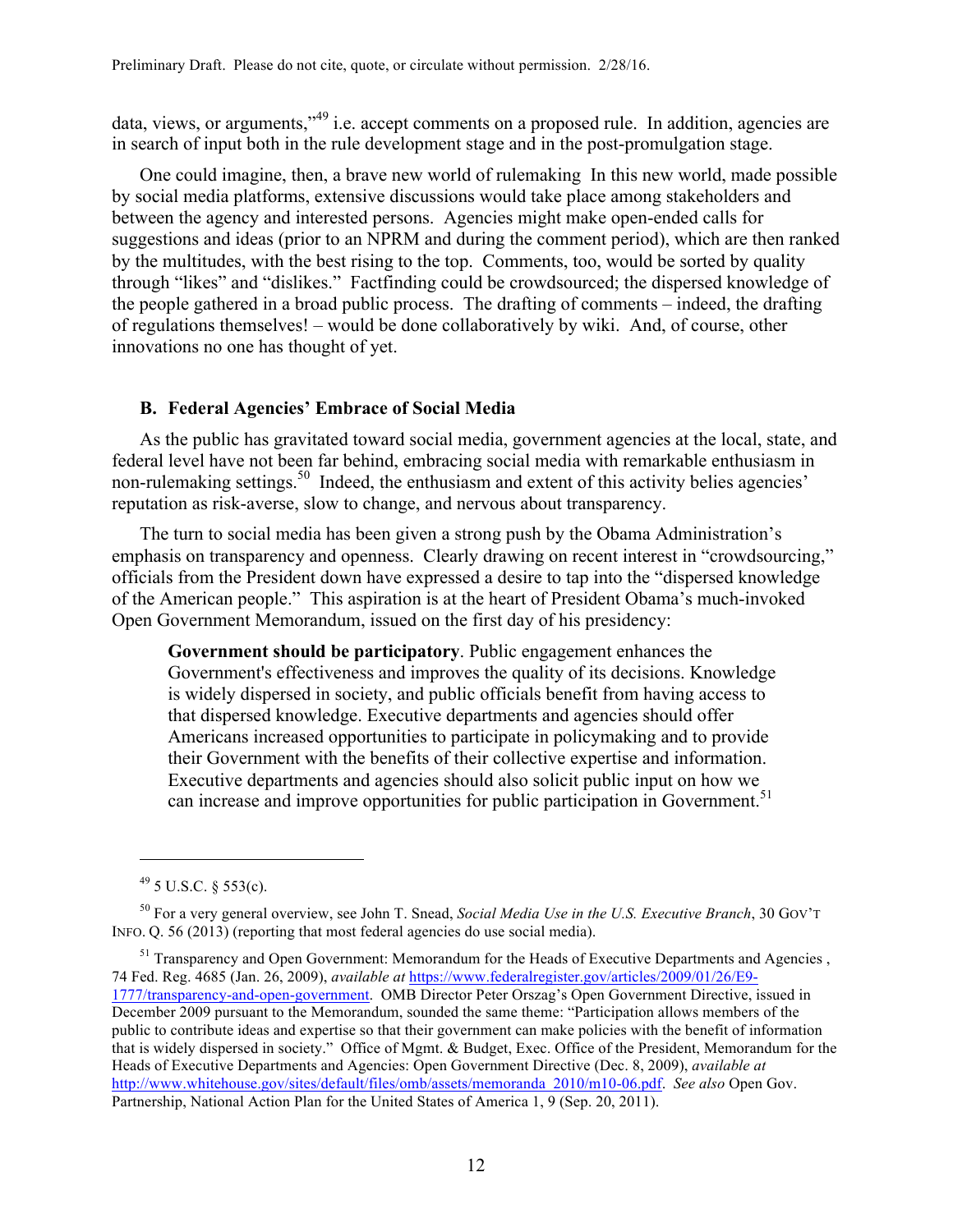data, views, or arguments,"<sup>49</sup> i.e. accept comments on a proposed rule. In addition, agencies are in search of input both in the rule development stage and in the post-promulgation stage.

One could imagine, then, a brave new world of rulemaking In this new world, made possible by social media platforms, extensive discussions would take place among stakeholders and between the agency and interested persons. Agencies might make open-ended calls for suggestions and ideas (prior to an NPRM and during the comment period), which are then ranked by the multitudes, with the best rising to the top. Comments, too, would be sorted by quality through "likes" and "dislikes." Factfinding could be crowdsourced; the dispersed knowledge of the people gathered in a broad public process. The drafting of comments – indeed, the drafting of regulations themselves! – would be done collaboratively by wiki. And, of course, other innovations no one has thought of yet.

# **B. Federal Agencies' Embrace of Social Media**

As the public has gravitated toward social media, government agencies at the local, state, and federal level have not been far behind, embracing social media with remarkable enthusiasm in non-rulemaking settings.<sup>50</sup> Indeed, the enthusiasm and extent of this activity belies agencies' reputation as risk-averse, slow to change, and nervous about transparency.

The turn to social media has been given a strong push by the Obama Administration's emphasis on transparency and openness. Clearly drawing on recent interest in "crowdsourcing," officials from the President down have expressed a desire to tap into the "dispersed knowledge of the American people." This aspiration is at the heart of President Obama's much-invoked Open Government Memorandum, issued on the first day of his presidency:

**Government should be participatory**. Public engagement enhances the Government's effectiveness and improves the quality of its decisions. Knowledge is widely dispersed in society, and public officials benefit from having access to that dispersed knowledge. Executive departments and agencies should offer Americans increased opportunities to participate in policymaking and to provide their Government with the benefits of their collective expertise and information. Executive departments and agencies should also solicit public input on how we can increase and improve opportunities for public participation in Government.<sup>51</sup>

 $\overline{a}$ 

<sup>51</sup> Transparency and Open Government: Memorandum for the Heads of Executive Departments and Agencies, 74 Fed. Reg. 4685 (Jan. 26, 2009), *available at* https://www.federalregister.gov/articles/2009/01/26/E9- 1777/transparency-and-open-government. OMB Director Peter Orszag's Open Government Directive, issued in December 2009 pursuant to the Memorandum, sounded the same theme: "Participation allows members of the public to contribute ideas and expertise so that their government can make policies with the benefit of information that is widely dispersed in society." Office of Mgmt. & Budget, Exec. Office of the President, Memorandum for the Heads of Executive Departments and Agencies: Open Government Directive (Dec. 8, 2009), *available at* http://www.whitehouse.gov/sites/default/files/omb/assets/memoranda\_2010/m10-06.pdf. *See also* Open Gov. Partnership, National Action Plan for the United States of America 1, 9 (Sep. 20, 2011).

 $49$  5 U.S.C. § 553(c).

<sup>50</sup> For a very general overview, see John T. Snead, *Social Media Use in the U.S. Executive Branch*, 30 GOV'T INFO. Q. 56 (2013) (reporting that most federal agencies do use social media).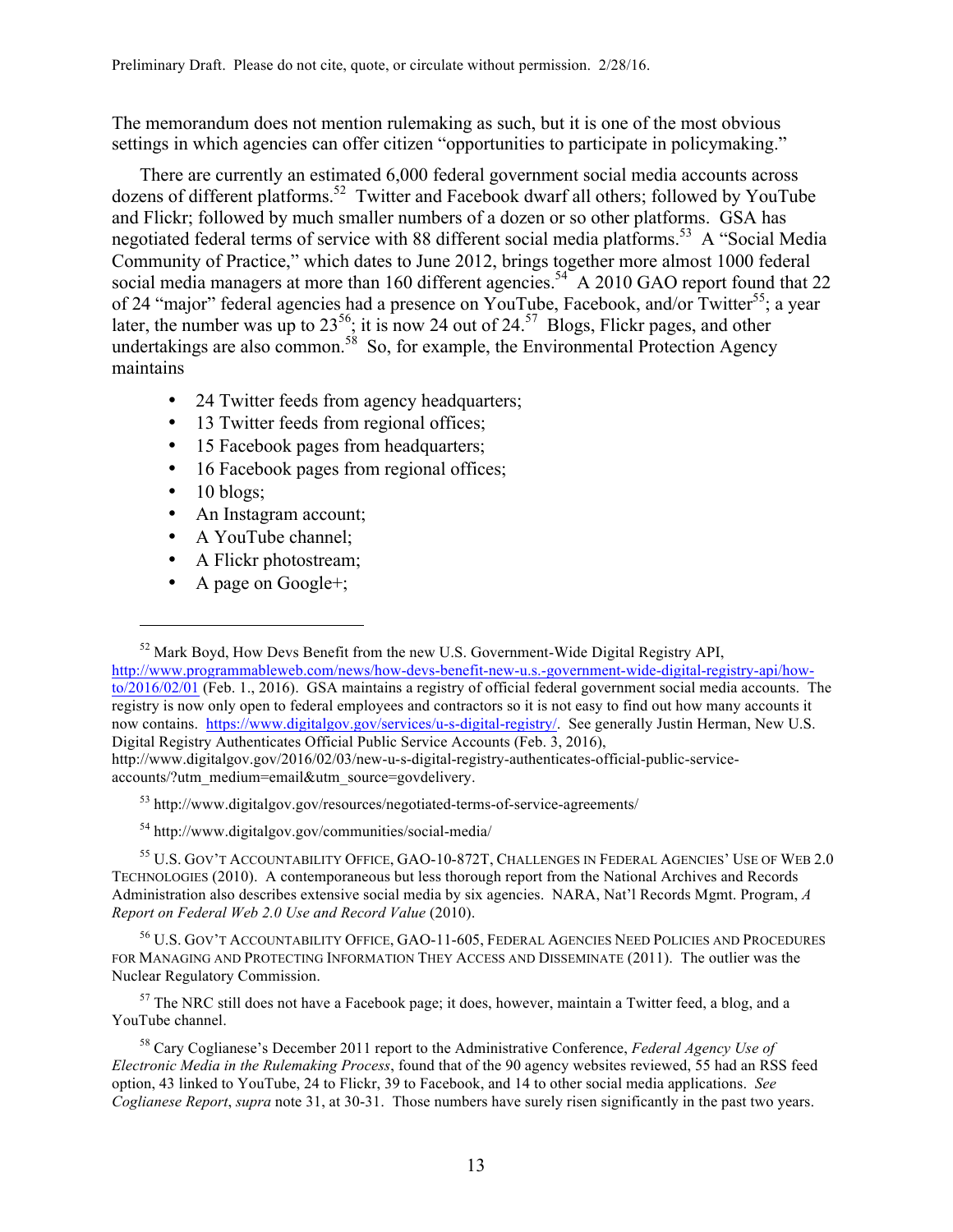The memorandum does not mention rulemaking as such, but it is one of the most obvious settings in which agencies can offer citizen "opportunities to participate in policymaking."

There are currently an estimated 6,000 federal government social media accounts across dozens of different platforms. 52 Twitter and Facebook dwarf all others; followed by YouTube and Flickr; followed by much smaller numbers of a dozen or so other platforms. GSA has negotiated federal terms of service with 88 different social media platforms.<sup>53</sup> A "Social Media Community of Practice," which dates to June 2012, brings together more almost 1000 federal social media managers at more than 160 different agencies.<sup>54</sup> A 2010 GAO report found that 22 of 24 "major" federal agencies had a presence on YouTube, Facebook, and/or Twitter<sup>55</sup>; a year later, the number was up to  $23^{56}$ ; it is now 24 out of  $24^{57}$ . Blogs, Flickr pages, and other undertakings are also common.<sup>58</sup> So, for example, the Environmental Protection Agency maintains

- 24 Twitter feeds from agency headquarters;
- 13 Twitter feeds from regional offices;
- 15 Facebook pages from headquarters;
- 16 Facebook pages from regional offices;
- $\bullet$  10 blogs;

 $\overline{a}$ 

- An Instagram account;
- A YouTube channel;
- A Flickr photostream;
- A page on Google+;

<sup>53</sup> http://www.digitalgov.gov/resources/negotiated-terms-of-service-agreements/

<sup>54</sup> http://www.digitalgov.gov/communities/social-media/

<sup>55</sup> U.S. GOV'T ACCOUNTABILITY OFFICE, GAO-10-872T, CHALLENGES IN FEDERAL AGENCIES' USE OF WEB 2.0 TECHNOLOGIES (2010). A contemporaneous but less thorough report from the National Archives and Records Administration also describes extensive social media by six agencies. NARA, Nat'l Records Mgmt. Program, *A Report on Federal Web 2.0 Use and Record Value* (2010).

<sup>56</sup> U.S. GOV'T ACCOUNTABILITY OFFICE, GAO-11-605, FEDERAL AGENCIES NEED POLICIES AND PROCEDURES FOR MANAGING AND PROTECTING INFORMATION THEY ACCESS AND DISSEMINATE (2011). The outlier was the Nuclear Regulatory Commission.

 $57$  The NRC still does not have a Facebook page; it does, however, maintain a Twitter feed, a blog, and a YouTube channel.

<sup>58</sup> Cary Coglianese's December 2011 report to the Administrative Conference, *Federal Agency Use of Electronic Media in the Rulemaking Process*, found that of the 90 agency websites reviewed, 55 had an RSS feed option, 43 linked to YouTube, 24 to Flickr, 39 to Facebook, and 14 to other social media applications. *See Coglianese Report*, *supra* note 31, at 30-31. Those numbers have surely risen significantly in the past two years.

 $52$  Mark Boyd, How Devs Benefit from the new U.S. Government-Wide Digital Registry API, http://www.programmableweb.com/news/how-devs-benefit-new-u.s.-government-wide-digital-registry-api/howto/2016/02/01 (Feb. 1., 2016). GSA maintains a registry of official federal government social media accounts. The registry is now only open to federal employees and contractors so it is not easy to find out how many accounts it now contains. https://www.digitalgov.gov/services/u-s-digital-registry/. See generally Justin Herman, New U.S. Digital Registry Authenticates Official Public Service Accounts (Feb. 3, 2016), http://www.digitalgov.gov/2016/02/03/new-u-s-digital-registry-authenticates-official-public-serviceaccounts/?utm\_medium=email&utm\_source=govdelivery.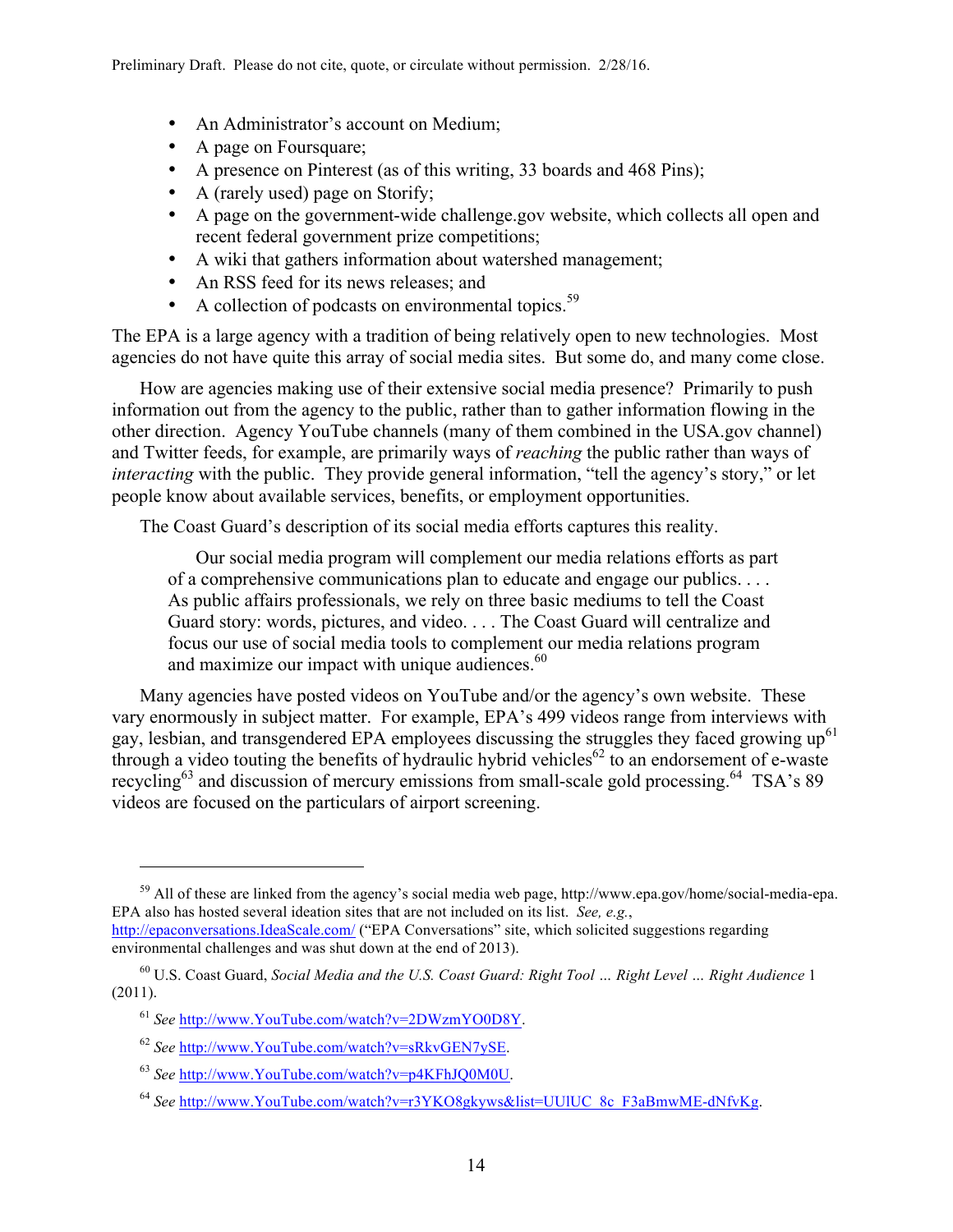- An Administrator's account on Medium;
- A page on Foursquare;
- A presence on Pinterest (as of this writing, 33 boards and 468 Pins);
- A (rarely used) page on Storify;
- A page on the government-wide challenge.gov website, which collects all open and recent federal government prize competitions;
- A wiki that gathers information about watershed management;
- An RSS feed for its news releases; and
- A collection of podcasts on environmental topics.<sup>59</sup>

The EPA is a large agency with a tradition of being relatively open to new technologies. Most agencies do not have quite this array of social media sites. But some do, and many come close.

How are agencies making use of their extensive social media presence? Primarily to push information out from the agency to the public, rather than to gather information flowing in the other direction. Agency YouTube channels (many of them combined in the USA.gov channel) and Twitter feeds, for example, are primarily ways of *reaching* the public rather than ways of *interacting* with the public. They provide general information, "tell the agency's story," or let people know about available services, benefits, or employment opportunities.

The Coast Guard's description of its social media efforts captures this reality.

Our social media program will complement our media relations efforts as part of a comprehensive communications plan to educate and engage our publics. . . . As public affairs professionals, we rely on three basic mediums to tell the Coast Guard story: words, pictures, and video. . . . The Coast Guard will centralize and focus our use of social media tools to complement our media relations program and maximize our impact with unique audiences. $60$ 

Many agencies have posted videos on YouTube and/or the agency's own website. These vary enormously in subject matter. For example, EPA's 499 videos range from interviews with gay, lesbian, and transgendered EPA employees discussing the struggles they faced growing  $up<sup>61</sup>$ through a video touting the benefits of hydraulic hybrid vehicles<sup>62</sup> to an endorsement of e-waste recycling<sup>63</sup> and discussion of mercury emissions from small-scale gold processing.<sup>64</sup> TSA's 89 videos are focused on the particulars of airport screening.

<sup>&</sup>lt;sup>59</sup> All of these are linked from the agency's social media web page, http://www.epa.gov/home/social-media-epa. EPA also has hosted several ideation sites that are not included on its list. *See, e.g.*, http://epaconversations.IdeaScale.com/ ("EPA Conversations" site, which solicited suggestions regarding

environmental challenges and was shut down at the end of 2013).

<sup>60</sup> U.S. Coast Guard, *Social Media and the U.S. Coast Guard: Right Tool … Right Level … Right Audience* 1 (2011).

<sup>61</sup> *See* http://www.YouTube.com/watch?v=2DWzmYO0D8Y.

<sup>62</sup> *See* http://www.YouTube.com/watch?v=sRkvGEN7ySE.

<sup>63</sup> *See* http://www.YouTube.com/watch?v=p4KFhJQ0M0U.

<sup>64</sup> *See* http://www.YouTube.com/watch?v=r3YKO8gkyws&list=UUlUC\_8c\_F3aBmwME-dNfvKg.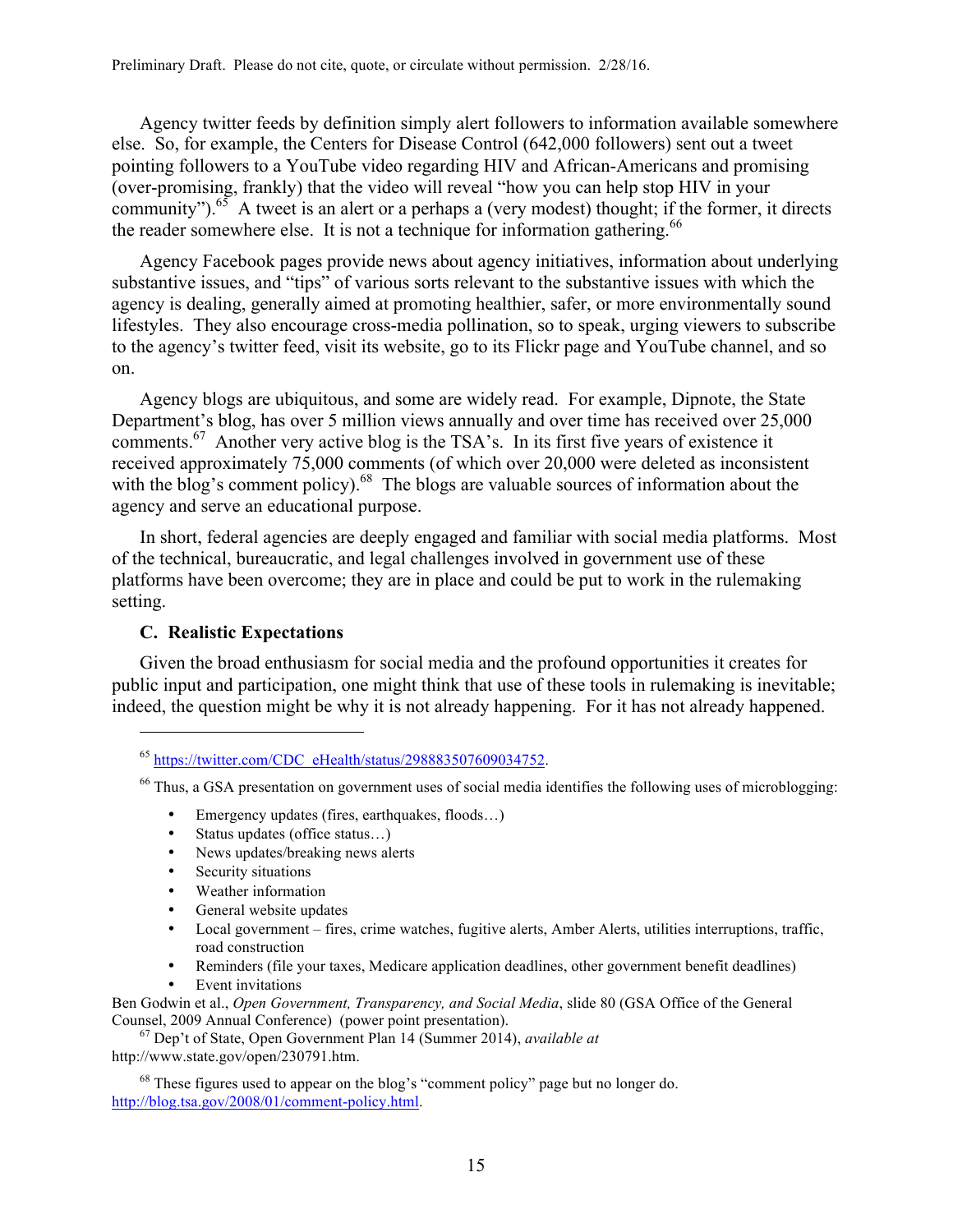Agency twitter feeds by definition simply alert followers to information available somewhere else. So, for example, the Centers for Disease Control (642,000 followers) sent out a tweet pointing followers to a YouTube video regarding HIV and African-Americans and promising (over-promising, frankly) that the video will reveal "how you can help stop HIV in your community").<sup>65</sup> A tweet is an alert or a perhaps a (very modest) thought; if the former, it directs the reader somewhere else. It is not a technique for information gathering.<sup>66</sup>

Agency Facebook pages provide news about agency initiatives, information about underlying substantive issues, and "tips" of various sorts relevant to the substantive issues with which the agency is dealing, generally aimed at promoting healthier, safer, or more environmentally sound lifestyles. They also encourage cross-media pollination, so to speak, urging viewers to subscribe to the agency's twitter feed, visit its website, go to its Flickr page and YouTube channel, and so on.

Agency blogs are ubiquitous, and some are widely read. For example, Dipnote, the State Department's blog, has over 5 million views annually and over time has received over 25,000 comments.<sup>67</sup> Another very active blog is the TSA's. In its first five years of existence it received approximately 75,000 comments (of which over 20,000 were deleted as inconsistent with the blog's comment policy).<sup>68</sup> The blogs are valuable sources of information about the agency and serve an educational purpose.

In short, federal agencies are deeply engaged and familiar with social media platforms. Most of the technical, bureaucratic, and legal challenges involved in government use of these platforms have been overcome; they are in place and could be put to work in the rulemaking setting.

# **C. Realistic Expectations**

 $\overline{a}$ 

Given the broad enthusiasm for social media and the profound opportunities it creates for public input and participation, one might think that use of these tools in rulemaking is inevitable; indeed, the question might be why it is not already happening. For it has not already happened.

- Emergency updates (fires, earthquakes, floods...)
- Status updates (office status...)
- News updates/breaking news alerts<br>• Security situations
- Security situations
- Weather information
- General website updates
- Local government fires, crime watches, fugitive alerts, Amber Alerts, utilities interruptions, traffic, road construction
- Reminders (file your taxes, Medicare application deadlines, other government benefit deadlines)
- Event invitations

Ben Godwin et al., *Open Government, Transparency, and Social Media*, slide 80 (GSA Office of the General Counsel, 2009 Annual Conference) (power point presentation).

<sup>67</sup> Dep't of State, Open Government Plan 14 (Summer 2014), *available at* http://www.state.gov/open/230791.htm.

 $68$  These figures used to appear on the blog's "comment policy" page but no longer do. http://blog.tsa.gov/2008/01/comment-policy.html.

 $^{65}$  https://twitter.com/CDC\_eHealth/status/298883507609034752.

<sup>&</sup>lt;sup>66</sup> Thus, a GSA presentation on government uses of social media identifies the following uses of microblogging: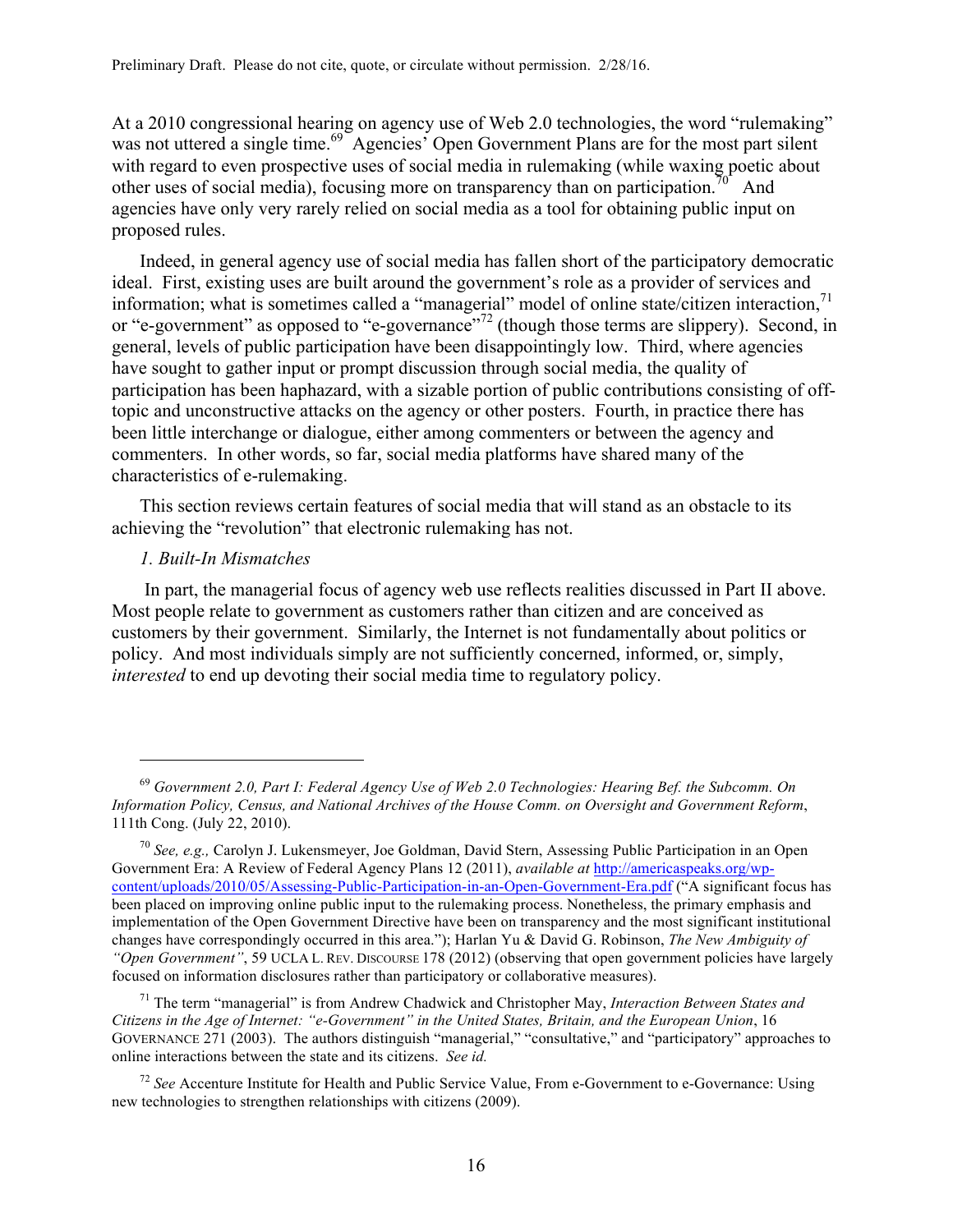At a 2010 congressional hearing on agency use of Web 2.0 technologies, the word "rulemaking" was not uttered a single time.<sup>69</sup> Agencies' Open Government Plans are for the most part silent with regard to even prospective uses of social media in rulemaking (while waxing poetic about other uses of social media), focusing more on transparency than on participation.<sup>70</sup> And agencies have only very rarely relied on social media as a tool for obtaining public input on proposed rules.

Indeed, in general agency use of social media has fallen short of the participatory democratic ideal. First, existing uses are built around the government's role as a provider of services and information; what is sometimes called a "managerial" model of online state/citizen interaction,<sup>71</sup> or "e-government" as opposed to "e-governance"<sup>72</sup> (though those terms are slippery). Second, in general, levels of public participation have been disappointingly low. Third, where agencies have sought to gather input or prompt discussion through social media, the quality of participation has been haphazard, with a sizable portion of public contributions consisting of offtopic and unconstructive attacks on the agency or other posters. Fourth, in practice there has been little interchange or dialogue, either among commenters or between the agency and commenters. In other words, so far, social media platforms have shared many of the characteristics of e-rulemaking.

This section reviews certain features of social media that will stand as an obstacle to its achieving the "revolution" that electronic rulemaking has not.

# *1. Built-In Mismatches*

 $\overline{a}$ 

In part, the managerial focus of agency web use reflects realities discussed in Part II above. Most people relate to government as customers rather than citizen and are conceived as customers by their government. Similarly, the Internet is not fundamentally about politics or policy. And most individuals simply are not sufficiently concerned, informed, or, simply, *interested* to end up devoting their social media time to regulatory policy.

<sup>71</sup> The term "managerial" is from Andrew Chadwick and Christopher May, *Interaction Between States and Citizens in the Age of Internet: "e-Government" in the United States, Britain, and the European Union*, 16 GOVERNANCE 271 (2003). The authors distinguish "managerial," "consultative," and "participatory" approaches to online interactions between the state and its citizens. *See id.*

<sup>72</sup> *See* Accenture Institute for Health and Public Service Value, From e-Government to e-Governance: Using new technologies to strengthen relationships with citizens (2009).

<sup>69</sup> *Government 2.0, Part I: Federal Agency Use of Web 2.0 Technologies: Hearing Bef. the Subcomm. On Information Policy, Census, and National Archives of the House Comm. on Oversight and Government Reform*, 111th Cong. (July 22, 2010).

<sup>70</sup> *See, e.g.,* Carolyn J. Lukensmeyer, Joe Goldman, David Stern, Assessing Public Participation in an Open Government Era: A Review of Federal Agency Plans 12 (2011), *available at* http://americaspeaks.org/wpcontent/uploads/2010/05/Assessing-Public-Participation-in-an-Open-Government-Era.pdf ("A significant focus has been placed on improving online public input to the rulemaking process. Nonetheless, the primary emphasis and implementation of the Open Government Directive have been on transparency and the most significant institutional changes have correspondingly occurred in this area."); Harlan Yu & David G. Robinson, *The New Ambiguity of "Open Government"*, 59 UCLA L. REV. DISCOURSE 178 (2012) (observing that open government policies have largely focused on information disclosures rather than participatory or collaborative measures).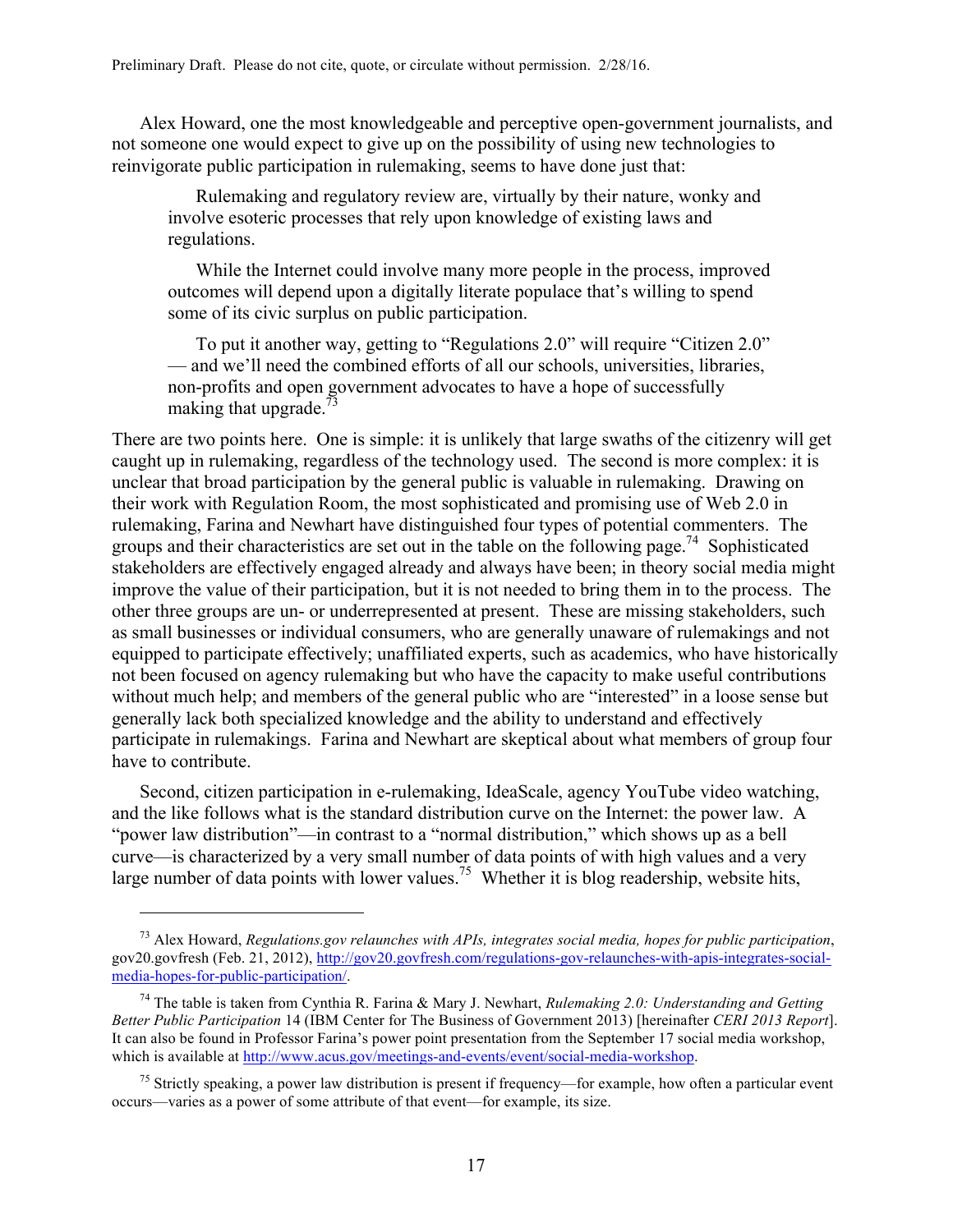Alex Howard, one the most knowledgeable and perceptive open-government journalists, and not someone one would expect to give up on the possibility of using new technologies to reinvigorate public participation in rulemaking, seems to have done just that:

Rulemaking and regulatory review are, virtually by their nature, wonky and involve esoteric processes that rely upon knowledge of existing laws and regulations.

While the Internet could involve many more people in the process, improved outcomes will depend upon a digitally literate populace that's willing to spend some of its civic surplus on public participation.

To put it another way, getting to "Regulations 2.0" will require "Citizen 2.0" — and we'll need the combined efforts of all our schools, universities, libraries, non-profits and open government advocates to have a hope of successfully making that upgrade. $^{73}$ 

There are two points here. One is simple: it is unlikely that large swaths of the citizenry will get caught up in rulemaking, regardless of the technology used. The second is more complex: it is unclear that broad participation by the general public is valuable in rulemaking. Drawing on their work with Regulation Room, the most sophisticated and promising use of Web 2.0 in rulemaking, Farina and Newhart have distinguished four types of potential commenters. The groups and their characteristics are set out in the table on the following page.<sup>74</sup> Sophisticated stakeholders are effectively engaged already and always have been; in theory social media might improve the value of their participation, but it is not needed to bring them in to the process. The other three groups are un- or underrepresented at present. These are missing stakeholders, such as small businesses or individual consumers, who are generally unaware of rulemakings and not equipped to participate effectively; unaffiliated experts, such as academics, who have historically not been focused on agency rulemaking but who have the capacity to make useful contributions without much help; and members of the general public who are "interested" in a loose sense but generally lack both specialized knowledge and the ability to understand and effectively participate in rulemakings. Farina and Newhart are skeptical about what members of group four have to contribute.

Second, citizen participation in e-rulemaking, IdeaScale, agency YouTube video watching, and the like follows what is the standard distribution curve on the Internet: the power law. A "power law distribution"—in contrast to a "normal distribution," which shows up as a bell curve—is characterized by a very small number of data points of with high values and a very large number of data points with lower values.<sup>75</sup> Whether it is blog readership, website hits,

<sup>73</sup> Alex Howard, *Regulations.gov relaunches with APIs, integrates social media, hopes for public participation*, gov20.govfresh (Feb. 21, 2012), http://gov20.govfresh.com/regulations-gov-relaunches-with-apis-integrates-socialmedia-hopes-for-public-participation/.

<sup>74</sup> The table is taken from Cynthia R. Farina & Mary J. Newhart, *Rulemaking 2.0: Understanding and Getting Better Public Participation* 14 (IBM Center for The Business of Government 2013) [hereinafter *CERI 2013 Report*]. It can also be found in Professor Farina's power point presentation from the September 17 social media workshop, which is available at http://www.acus.gov/meetings-and-events/event/social-media-workshop.

<sup>&</sup>lt;sup>75</sup> Strictly speaking, a power law distribution is present if frequency—for example, how often a particular event occurs—varies as a power of some attribute of that event—for example, its size.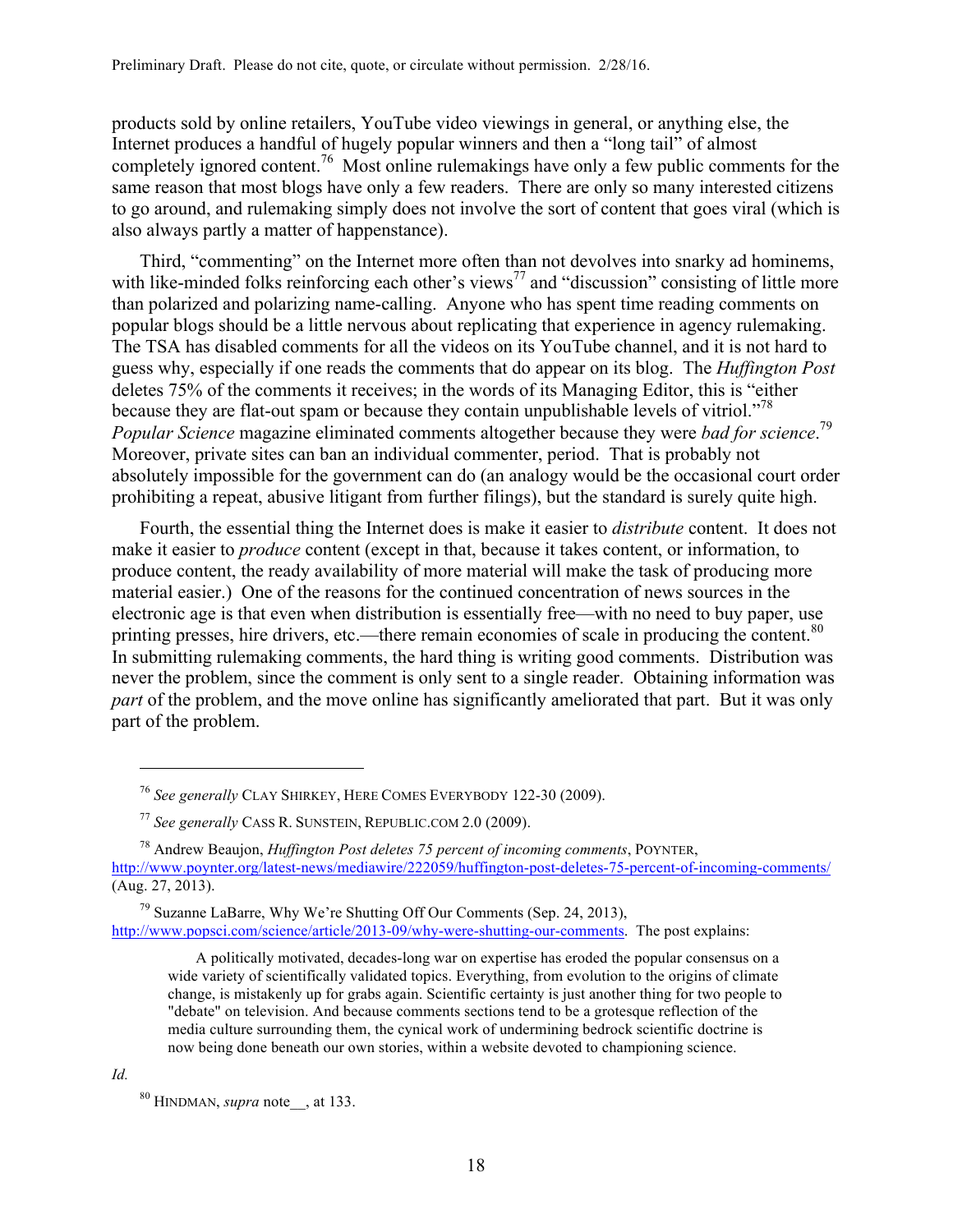products sold by online retailers, YouTube video viewings in general, or anything else, the Internet produces a handful of hugely popular winners and then a "long tail" of almost completely ignored content.<sup>76</sup> Most online rulemakings have only a few public comments for the same reason that most blogs have only a few readers. There are only so many interested citizens to go around, and rulemaking simply does not involve the sort of content that goes viral (which is also always partly a matter of happenstance).

Third, "commenting" on the Internet more often than not devolves into snarky ad hominems, with like-minded folks reinforcing each other's views<sup>77</sup> and "discussion" consisting of little more than polarized and polarizing name-calling. Anyone who has spent time reading comments on popular blogs should be a little nervous about replicating that experience in agency rulemaking. The TSA has disabled comments for all the videos on its YouTube channel, and it is not hard to guess why, especially if one reads the comments that do appear on its blog. The *Huffington Post* deletes 75% of the comments it receives; in the words of its Managing Editor, this is "either because they are flat-out spam or because they contain unpublishable levels of vitriol."<sup>78</sup> *Popular Science* magazine eliminated comments altogether because they were *bad for science*. 79 Moreover, private sites can ban an individual commenter, period. That is probably not absolutely impossible for the government can do (an analogy would be the occasional court order prohibiting a repeat, abusive litigant from further filings), but the standard is surely quite high.

Fourth, the essential thing the Internet does is make it easier to *distribute* content. It does not make it easier to *produce* content (except in that, because it takes content, or information, to produce content, the ready availability of more material will make the task of producing more material easier.) One of the reasons for the continued concentration of news sources in the electronic age is that even when distribution is essentially free—with no need to buy paper, use printing presses, hire drivers, etc.—there remain economies of scale in producing the content.<sup>80</sup> In submitting rulemaking comments, the hard thing is writing good comments. Distribution was never the problem, since the comment is only sent to a single reader. Obtaining information was *part* of the problem, and the move online has significantly ameliorated that part. But it was only part of the problem.

 $79$  Suzanne LaBarre, Why We're Shutting Off Our Comments (Sep. 24, 2013), http://www.popsci.com/science/article/2013-09/why-were-shutting-our-comments. The post explains:

A politically motivated, decades-long war on expertise has eroded the popular consensus on a wide variety of scientifically validated topics. Everything, from evolution to the origins of climate change, is mistakenly up for grabs again. Scientific certainty is just another thing for two people to "debate" on television. And because comments sections tend to be a grotesque reflection of the media culture surrounding them, the cynical work of undermining bedrock scientific doctrine is now being done beneath our own stories, within a website devoted to championing science.

*Id.*

<sup>76</sup> *See generally* CLAY SHIRKEY, HERE COMES EVERYBODY 122-30 (2009).

<sup>77</sup> *See generally* CASS R. SUNSTEIN, REPUBLIC.COM 2.0 (2009).

<sup>78</sup> Andrew Beaujon, *Huffington Post deletes 75 percent of incoming comments*, POYNTER, http://www.poynter.org/latest-news/mediawire/222059/huffington-post-deletes-75-percent-of-incoming-comments/ (Aug. 27, 2013).

<sup>80</sup> HINDMAN, *supra* note\_\_, at 133.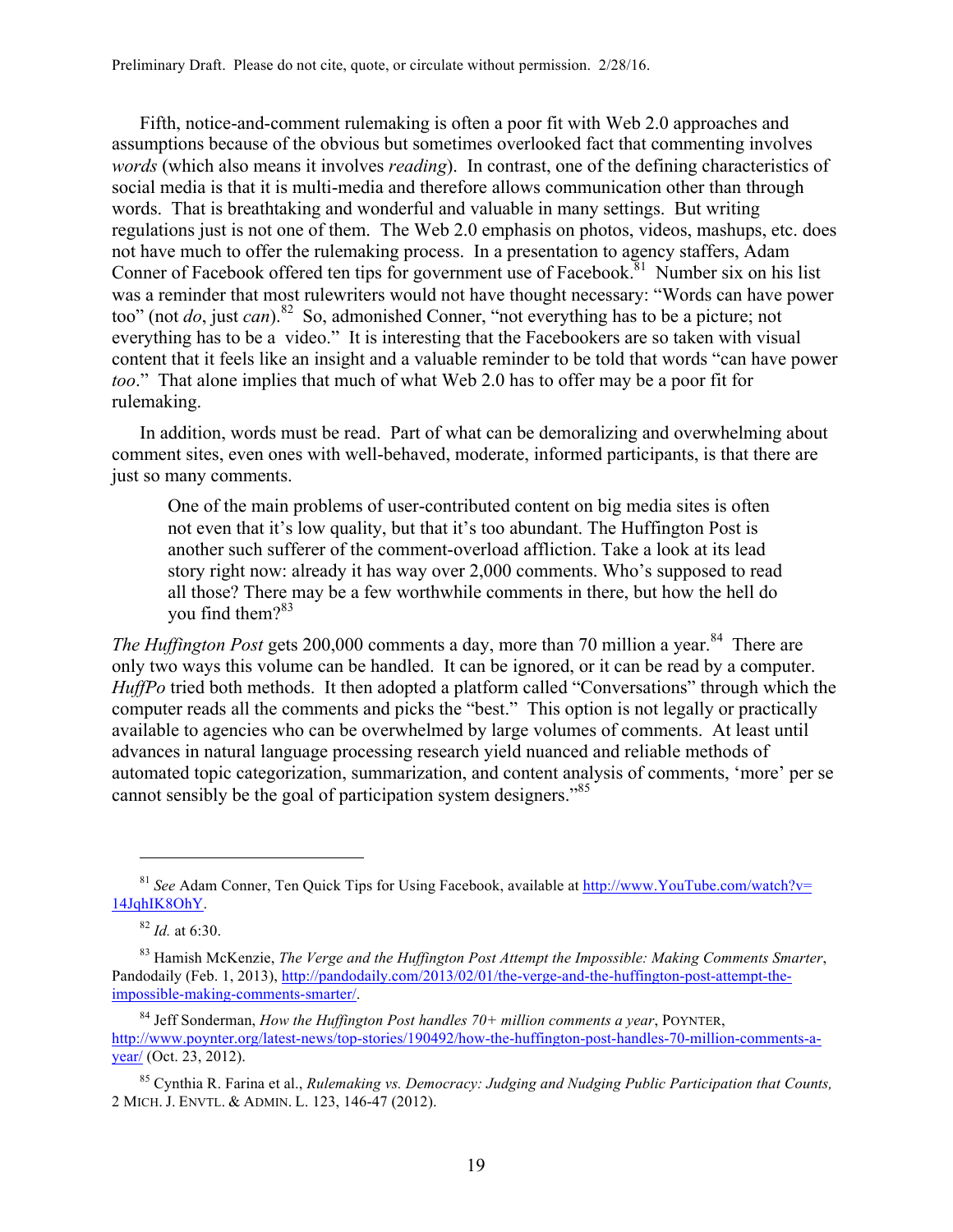Fifth, notice-and-comment rulemaking is often a poor fit with Web 2.0 approaches and assumptions because of the obvious but sometimes overlooked fact that commenting involves *words* (which also means it involves *reading*). In contrast, one of the defining characteristics of social media is that it is multi-media and therefore allows communication other than through words. That is breathtaking and wonderful and valuable in many settings. But writing regulations just is not one of them. The Web 2.0 emphasis on photos, videos, mashups, etc. does not have much to offer the rulemaking process. In a presentation to agency staffers, Adam Conner of Facebook offered ten tips for government use of Facebook.<sup>81</sup> Number six on his list was a reminder that most rulewriters would not have thought necessary: "Words can have power too" (not *do*, just *can*).<sup>82</sup> So, admonished Conner, "not everything has to be a picture; not everything has to be a video." It is interesting that the Facebookers are so taken with visual content that it feels like an insight and a valuable reminder to be told that words "can have power *too*." That alone implies that much of what Web 2.0 has to offer may be a poor fit for rulemaking.

In addition, words must be read. Part of what can be demoralizing and overwhelming about comment sites, even ones with well-behaved, moderate, informed participants, is that there are just so many comments.

One of the main problems of user-contributed content on big media sites is often not even that it's low quality, but that it's too abundant. The Huffington Post is another such sufferer of the comment-overload affliction. Take a look at its lead story right now: already it has way over 2,000 comments. Who's supposed to read all those? There may be a few worthwhile comments in there, but how the hell do you find them?<sup>83</sup>

*The Huffington Post gets* 200,000 comments a day, more than 70 million a year.<sup>84</sup> There are only two ways this volume can be handled. It can be ignored, or it can be read by a computer. *HuffPo* tried both methods. It then adopted a platform called "Conversations" through which the computer reads all the comments and picks the "best." This option is not legally or practically available to agencies who can be overwhelmed by large volumes of comments. At least until advances in natural language processing research yield nuanced and reliable methods of automated topic categorization, summarization, and content analysis of comments, 'more' per se cannot sensibly be the goal of participation system designers.<sup>85</sup>

<sup>81</sup> *See* Adam Conner, Ten Quick Tips for Using Facebook, available at http://www.YouTube.com/watch?v= 14JqhIK8OhY.

<sup>82</sup> *Id.* at 6:30.

<sup>83</sup> Hamish McKenzie, *The Verge and the Huffington Post Attempt the Impossible: Making Comments Smarter*, Pandodaily (Feb. 1, 2013), http://pandodaily.com/2013/02/01/the-verge-and-the-huffington-post-attempt-theimpossible-making-comments-smarter/.

<sup>84</sup> Jeff Sonderman, *How the Huffington Post handles 70+ million comments a year*, POYNTER, http://www.poynter.org/latest-news/top-stories/190492/how-the-huffington-post-handles-70-million-comments-ayear/ (Oct. 23, 2012).

<sup>85</sup> Cynthia R. Farina et al., *Rulemaking vs. Democracy: Judging and Nudging Public Participation that Counts,*  2 MICH. J. ENVTL. & ADMIN. L. 123, 146-47 (2012).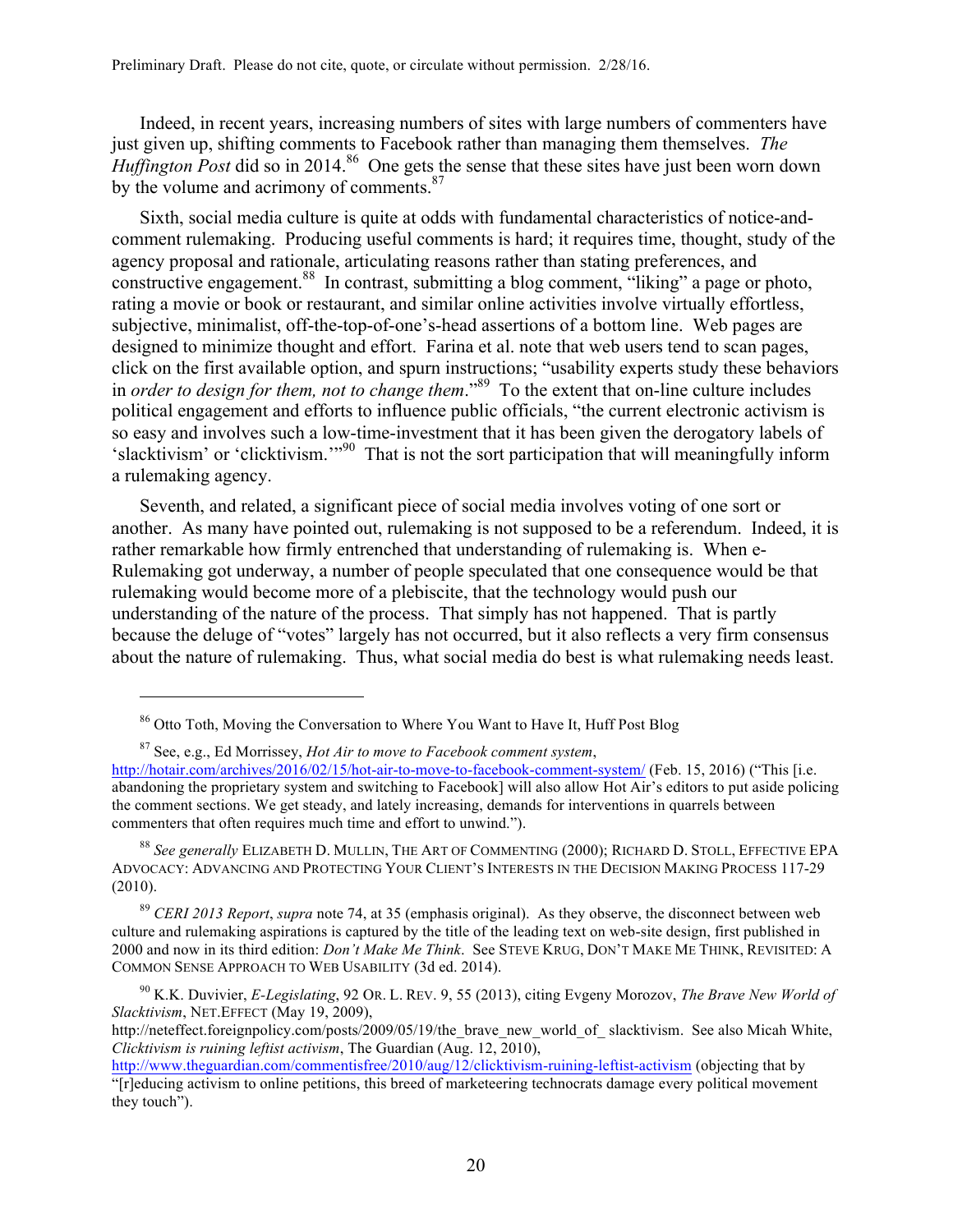Indeed, in recent years, increasing numbers of sites with large numbers of commenters have just given up, shifting comments to Facebook rather than managing them themselves. *The Huffington Post* did so in 2014.<sup>86</sup> One gets the sense that these sites have just been worn down by the volume and acrimony of comments.<sup>87</sup>

Sixth, social media culture is quite at odds with fundamental characteristics of notice-andcomment rulemaking. Producing useful comments is hard; it requires time, thought, study of the agency proposal and rationale, articulating reasons rather than stating preferences, and constructive engagement.<sup>88</sup> In contrast, submitting a blog comment, "liking" a page or photo, rating a movie or book or restaurant, and similar online activities involve virtually effortless, subjective, minimalist, off-the-top-of-one's-head assertions of a bottom line. Web pages are designed to minimize thought and effort. Farina et al. note that web users tend to scan pages, click on the first available option, and spurn instructions; "usability experts study these behaviors in *order to design for them, not to change them*." 89 To the extent that on-line culture includes political engagement and efforts to influence public officials, "the current electronic activism is so easy and involves such a low-time-investment that it has been given the derogatory labels of 'slacktivism' or 'clicktivism.'"90 That is not the sort participation that will meaningfully inform a rulemaking agency.

Seventh, and related, a significant piece of social media involves voting of one sort or another. As many have pointed out, rulemaking is not supposed to be a referendum. Indeed, it is rather remarkable how firmly entrenched that understanding of rulemaking is. When e-Rulemaking got underway, a number of people speculated that one consequence would be that rulemaking would become more of a plebiscite, that the technology would push our understanding of the nature of the process. That simply has not happened. That is partly because the deluge of "votes" largely has not occurred, but it also reflects a very firm consensus about the nature of rulemaking. Thus, what social media do best is what rulemaking needs least.

 $\overline{a}$ 

<sup>88</sup> *See generally* ELIZABETH D. MULLIN, THE ART OF COMMENTING (2000); RICHARD D. STOLL, EFFECTIVE EPA ADVOCACY: ADVANCING AND PROTECTING YOUR CLIENT'S INTERESTS IN THE DECISION MAKING PROCESS 117-29 (2010).

<sup>89</sup> *CERI 2013 Report*, *supra* note 74, at 35 (emphasis original). As they observe, the disconnect between web culture and rulemaking aspirations is captured by the title of the leading text on web-site design, first published in 2000 and now in its third edition: *Don't Make Me Think*. See STEVE KRUG, DON'T MAKE ME THINK, REVISITED: A COMMON SENSE APPROACH TO WEB USABILITY (3d ed. 2014).

<sup>86</sup> Otto Toth, Moving the Conversation to Where You Want to Have It, Huff Post Blog

<sup>87</sup> See, e.g., Ed Morrissey, *Hot Air to move to Facebook comment system*,

http://hotair.com/archives/2016/02/15/hot-air-to-move-to-facebook-comment-system/ (Feb. 15, 2016) ("This [i.e. abandoning the proprietary system and switching to Facebook] will also allow Hot Air's editors to put aside policing the comment sections. We get steady, and lately increasing, demands for interventions in quarrels between commenters that often requires much time and effort to unwind.").

<sup>90</sup> K.K. Duvivier, *E-Legislating*, 92 OR. L. REV. 9, 55 (2013), citing Evgeny Morozov, *The Brave New World of Slacktivism*, NET.EFFECT (May 19, 2009),

http://neteffect.foreignpolicy.com/posts/2009/05/19/the\_brave\_new\_world\_of\_ slacktivism. See also Micah White, *Clicktivism is ruining leftist activism*, The Guardian (Aug. 12, 2010),

http://www.theguardian.com/commentisfree/2010/aug/12/clicktivism-ruining-leftist-activism (objecting that by "[r]educing activism to online petitions, this breed of marketeering technocrats damage every political movement they touch").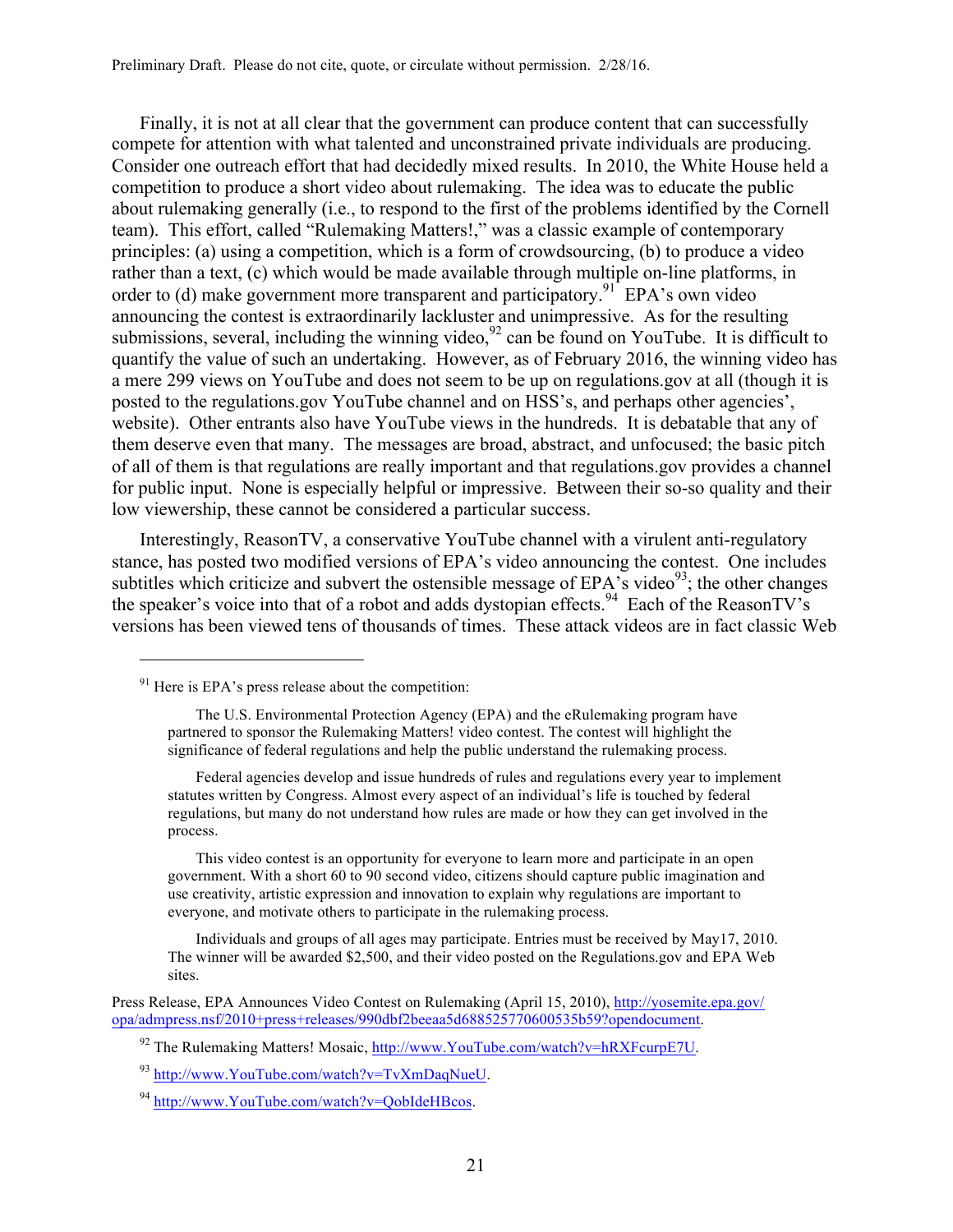Finally, it is not at all clear that the government can produce content that can successfully compete for attention with what talented and unconstrained private individuals are producing. Consider one outreach effort that had decidedly mixed results. In 2010, the White House held a competition to produce a short video about rulemaking. The idea was to educate the public about rulemaking generally (i.e., to respond to the first of the problems identified by the Cornell team). This effort, called "Rulemaking Matters!," was a classic example of contemporary principles: (a) using a competition, which is a form of crowdsourcing, (b) to produce a video rather than a text, (c) which would be made available through multiple on-line platforms, in order to (d) make government more transparent and participatory.<sup>91</sup> EPA's own video announcing the contest is extraordinarily lackluster and unimpressive. As for the resulting submissions, several, including the winning video,  $92$  can be found on YouTube. It is difficult to quantify the value of such an undertaking. However, as of February 2016, the winning video has a mere 299 views on YouTube and does not seem to be up on regulations.gov at all (though it is posted to the regulations.gov YouTube channel and on HSS's, and perhaps other agencies', website). Other entrants also have YouTube views in the hundreds. It is debatable that any of them deserve even that many. The messages are broad, abstract, and unfocused; the basic pitch of all of them is that regulations are really important and that regulations.gov provides a channel for public input. None is especially helpful or impressive. Between their so-so quality and their low viewership, these cannot be considered a particular success.

Interestingly, ReasonTV, a conservative YouTube channel with a virulent anti-regulatory stance, has posted two modified versions of EPA's video announcing the contest. One includes subtitles which criticize and subvert the ostensible message of EPA's video<sup>93</sup>; the other changes the speaker's voice into that of a robot and adds dystopian effects.<sup>94</sup> Each of the ReasonTV's versions has been viewed tens of thousands of times. These attack videos are in fact classic Web

 $91$  Here is EPA's press release about the competition:

The U.S. Environmental Protection Agency (EPA) and the eRulemaking program have partnered to sponsor the Rulemaking Matters! video contest. The contest will highlight the significance of federal regulations and help the public understand the rulemaking process.

Federal agencies develop and issue hundreds of rules and regulations every year to implement statutes written by Congress. Almost every aspect of an individual's life is touched by federal regulations, but many do not understand how rules are made or how they can get involved in the process.

This video contest is an opportunity for everyone to learn more and participate in an open government. With a short 60 to 90 second video, citizens should capture public imagination and use creativity, artistic expression and innovation to explain why regulations are important to everyone, and motivate others to participate in the rulemaking process.

Individuals and groups of all ages may participate. Entries must be received by May17, 2010. The winner will be awarded \$2,500, and their video posted on the Regulations.gov and EPA Web sites.

Press Release, EPA Announces Video Contest on Rulemaking (April 15, 2010), http://yosemite.epa.gov/ opa/admpress.nsf/2010+press+releases/990dbf2beeaa5d688525770600535b59?opendocument.

<sup>&</sup>lt;sup>92</sup> The Rulemaking Matters! Mosaic, http://www.YouTube.com/watch?v=hRXFcurpE7U.

<sup>93</sup> http://www.YouTube.com/watch?v=TvXmDaqNueU.

<sup>94</sup> http://www.YouTube.com/watch?v=QobIdeHBcos.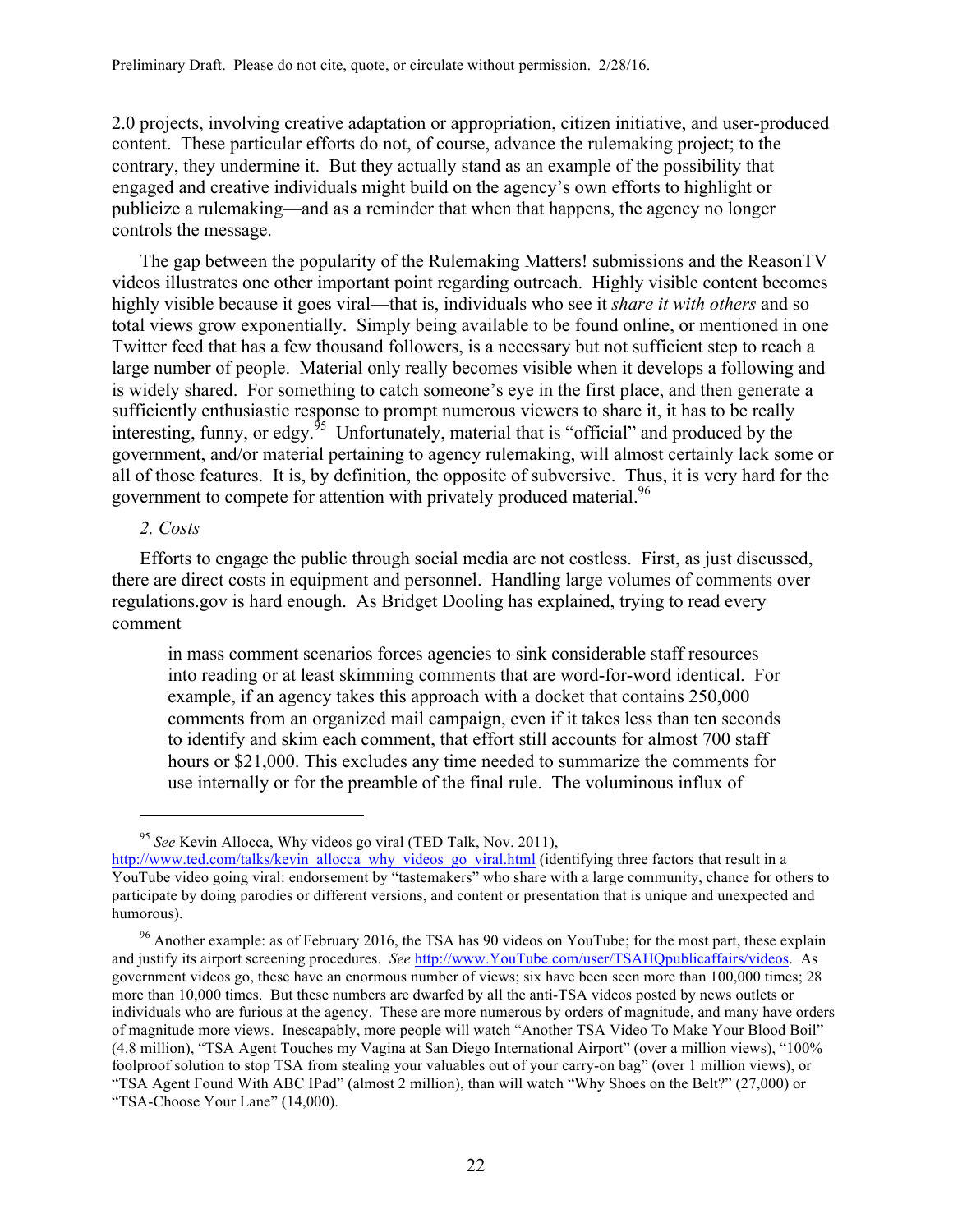2.0 projects, involving creative adaptation or appropriation, citizen initiative, and user-produced content. These particular efforts do not, of course, advance the rulemaking project; to the contrary, they undermine it. But they actually stand as an example of the possibility that engaged and creative individuals might build on the agency's own efforts to highlight or publicize a rulemaking—and as a reminder that when that happens, the agency no longer controls the message.

The gap between the popularity of the Rulemaking Matters! submissions and the ReasonTV videos illustrates one other important point regarding outreach. Highly visible content becomes highly visible because it goes viral—that is, individuals who see it *share it with others* and so total views grow exponentially. Simply being available to be found online, or mentioned in one Twitter feed that has a few thousand followers, is a necessary but not sufficient step to reach a large number of people. Material only really becomes visible when it develops a following and is widely shared. For something to catch someone's eye in the first place, and then generate a sufficiently enthusiastic response to prompt numerous viewers to share it, it has to be really interesting, funny, or edgy. $95$  Unfortunately, material that is "official" and produced by the government, and/or material pertaining to agency rulemaking, will almost certainly lack some or all of those features. It is, by definition, the opposite of subversive. Thus, it is very hard for the government to compete for attention with privately produced material.<sup>96</sup>

### *2. Costs*

 $\overline{a}$ 

Efforts to engage the public through social media are not costless. First, as just discussed, there are direct costs in equipment and personnel. Handling large volumes of comments over regulations.gov is hard enough. As Bridget Dooling has explained, trying to read every comment

in mass comment scenarios forces agencies to sink considerable staff resources into reading or at least skimming comments that are word-for-word identical. For example, if an agency takes this approach with a docket that contains 250,000 comments from an organized mail campaign, even if it takes less than ten seconds to identify and skim each comment, that effort still accounts for almost 700 staff hours or \$21,000. This excludes any time needed to summarize the comments for use internally or for the preamble of the final rule. The voluminous influx of

<sup>95</sup> *See* Kevin Allocca, Why videos go viral (TED Talk, Nov. 2011),

http://www.ted.com/talks/kevin\_allocca\_why\_videos\_go\_viral.html (identifying three factors that result in a YouTube video going viral: endorsement by "tastemakers" who share with a large community, chance for others to participate by doing parodies or different versions, and content or presentation that is unique and unexpected and humorous).

 $96$  Another example: as of February 2016, the TSA has 90 videos on YouTube; for the most part, these explain and justify its airport screening procedures. *See* http://www.YouTube.com/user/TSAHQpublicaffairs/videos. As government videos go, these have an enormous number of views; six have been seen more than 100,000 times; 28 more than 10,000 times. But these numbers are dwarfed by all the anti-TSA videos posted by news outlets or individuals who are furious at the agency. These are more numerous by orders of magnitude, and many have orders of magnitude more views. Inescapably, more people will watch "Another TSA Video To Make Your Blood Boil" (4.8 million), "TSA Agent Touches my Vagina at San Diego International Airport" (over a million views), "100% foolproof solution to stop TSA from stealing your valuables out of your carry-on bag" (over 1 million views), or "TSA Agent Found With ABC IPad" (almost 2 million), than will watch "Why Shoes on the Belt?" (27,000) or "TSA-Choose Your Lane" (14,000).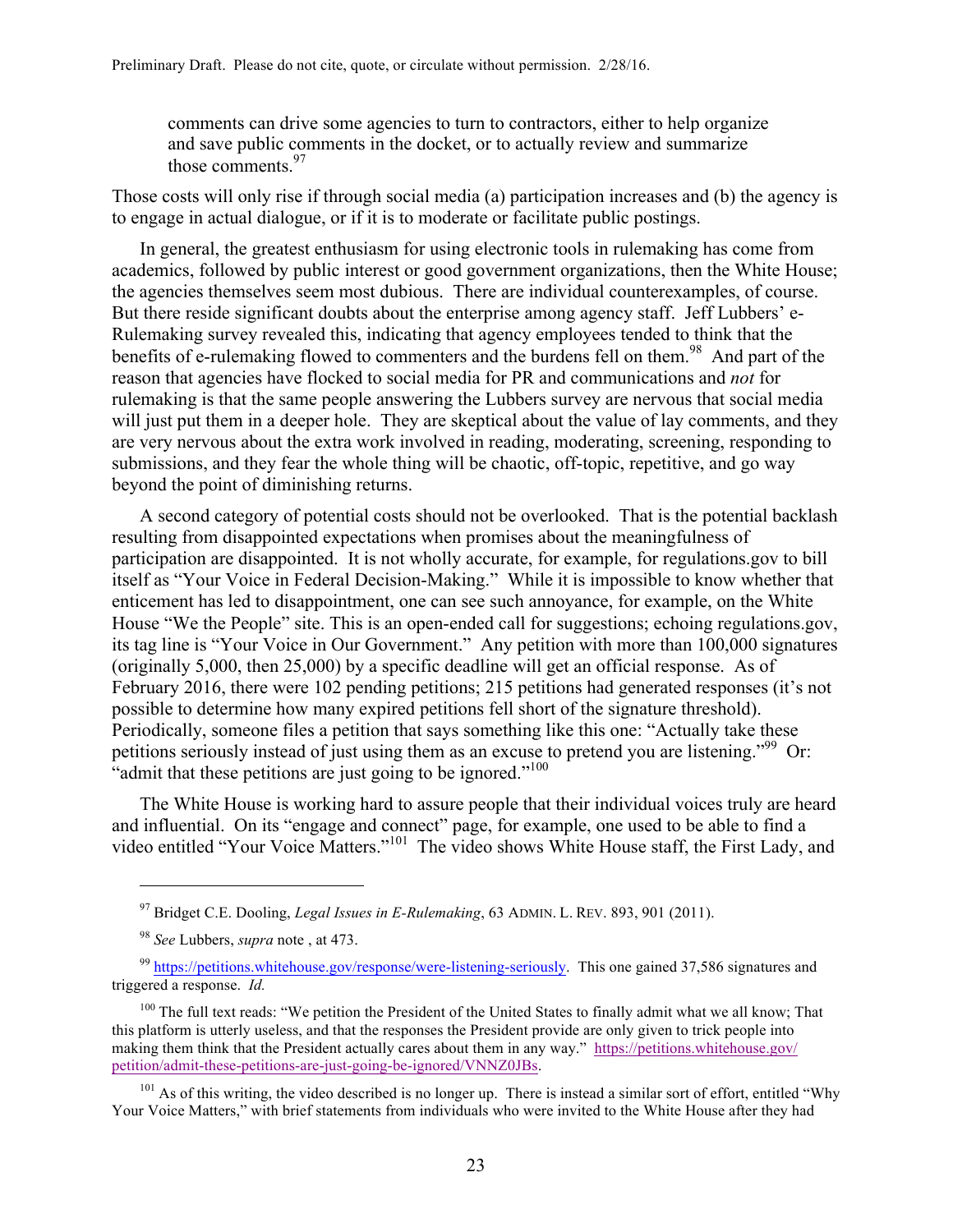comments can drive some agencies to turn to contractors, either to help organize and save public comments in the docket, or to actually review and summarize those comments<sup>97</sup>

Those costs will only rise if through social media (a) participation increases and (b) the agency is to engage in actual dialogue, or if it is to moderate or facilitate public postings.

In general, the greatest enthusiasm for using electronic tools in rulemaking has come from academics, followed by public interest or good government organizations, then the White House; the agencies themselves seem most dubious. There are individual counterexamples, of course. But there reside significant doubts about the enterprise among agency staff. Jeff Lubbers' e-Rulemaking survey revealed this, indicating that agency employees tended to think that the benefits of e-rulemaking flowed to commenters and the burdens fell on them.<sup>98</sup> And part of the reason that agencies have flocked to social media for PR and communications and *not* for rulemaking is that the same people answering the Lubbers survey are nervous that social media will just put them in a deeper hole. They are skeptical about the value of lay comments, and they are very nervous about the extra work involved in reading, moderating, screening, responding to submissions, and they fear the whole thing will be chaotic, off-topic, repetitive, and go way beyond the point of diminishing returns.

A second category of potential costs should not be overlooked. That is the potential backlash resulting from disappointed expectations when promises about the meaningfulness of participation are disappointed. It is not wholly accurate, for example, for regulations.gov to bill itself as "Your Voice in Federal Decision-Making." While it is impossible to know whether that enticement has led to disappointment, one can see such annoyance, for example, on the White House "We the People" site. This is an open-ended call for suggestions; echoing regulations.gov, its tag line is "Your Voice in Our Government." Any petition with more than 100,000 signatures (originally 5,000, then 25,000) by a specific deadline will get an official response. As of February 2016, there were 102 pending petitions; 215 petitions had generated responses (it's not possible to determine how many expired petitions fell short of the signature threshold). Periodically, someone files a petition that says something like this one: "Actually take these petitions seriously instead of just using them as an excuse to pretend you are listening."<sup>99</sup> Or: "admit that these petitions are just going to be ignored."<sup>100</sup>

The White House is working hard to assure people that their individual voices truly are heard and influential. On its "engage and connect" page, for example, one used to be able to find a video entitled "Your Voice Matters."101 The video shows White House staff, the First Lady, and

<sup>97</sup> Bridget C.E. Dooling, *Legal Issues in E-Rulemaking*, 63 ADMIN. L. REV. 893, 901 (2011).

<sup>98</sup> *See* Lubbers, *supra* note , at 473.

<sup>99</sup> https://petitions.whitehouse.gov/response/were-listening-seriously. This one gained 37,586 signatures and triggered a response. *Id.* 

<sup>&</sup>lt;sup>100</sup> The full text reads: "We petition the President of the United States to finally admit what we all know; That this platform is utterly useless, and that the responses the President provide are only given to trick people into making them think that the President actually cares about them in any way." https://petitions.whitehouse.gov/ petition/admit-these-petitions-are-just-going-be-ignored/VNNZ0JBs.

 $101$  As of this writing, the video described is no longer up. There is instead a similar sort of effort, entitled "Why" Your Voice Matters," with brief statements from individuals who were invited to the White House after they had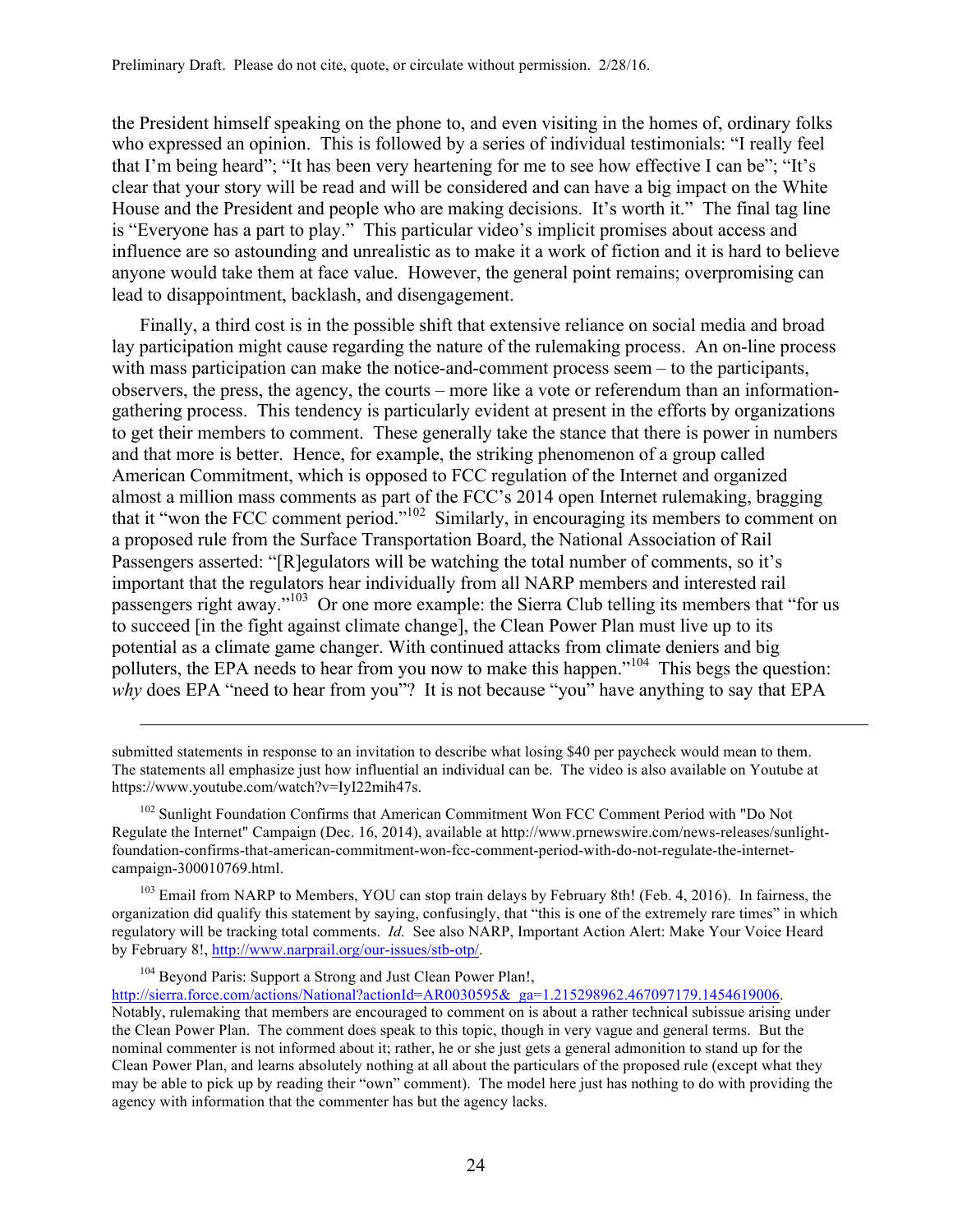the President himself speaking on the phone to, and even visiting in the homes of, ordinary folks who expressed an opinion. This is followed by a series of individual testimonials: "I really feel that I'm being heard"; "It has been very heartening for me to see how effective I can be"; "It's clear that your story will be read and will be considered and can have a big impact on the White House and the President and people who are making decisions. It's worth it." The final tag line is "Everyone has a part to play." This particular video's implicit promises about access and influence are so astounding and unrealistic as to make it a work of fiction and it is hard to believe anyone would take them at face value. However, the general point remains; overpromising can lead to disappointment, backlash, and disengagement.

Finally, a third cost is in the possible shift that extensive reliance on social media and broad lay participation might cause regarding the nature of the rulemaking process. An on-line process with mass participation can make the notice-and-comment process seem – to the participants, observers, the press, the agency, the courts – more like a vote or referendum than an informationgathering process. This tendency is particularly evident at present in the efforts by organizations to get their members to comment. These generally take the stance that there is power in numbers and that more is better. Hence, for example, the striking phenomenon of a group called American Commitment, which is opposed to FCC regulation of the Internet and organized almost a million mass comments as part of the FCC's 2014 open Internet rulemaking, bragging that it "won the FCC comment period."102 Similarly, in encouraging its members to comment on a proposed rule from the Surface Transportation Board, the National Association of Rail Passengers asserted: "[R]egulators will be watching the total number of comments, so it's important that the regulators hear individually from all NARP members and interested rail passengers right away."103 Or one more example: the Sierra Club telling its members that "for us to succeed [in the fight against climate change], the Clean Power Plan must live up to its potential as a climate game changer. With continued attacks from climate deniers and big polluters, the EPA needs to hear from you now to make this happen."<sup>104</sup> This begs the question: *why* does EPA "need to hear from you"? It is not because "you" have anything to say that EPA

<sup>103</sup> Email from NARP to Members, YOU can stop train delays by February 8th! (Feb. 4, 2016). In fairness, the organization did qualify this statement by saying, confusingly, that "this is one of the extremely rare times" in which regulatory will be tracking total comments. *Id.* See also NARP, Important Action Alert: Make Your Voice Heard by February 8!, http://www.narprail.org/our-issues/stb-otp/.

<sup>104</sup> Beyond Paris: Support a Strong and Just Clean Power Plan!,

1

http://sierra.force.com/actions/National?actionId=AR0030595&\_ga=1.215298962.467097179.1454619006.

submitted statements in response to an invitation to describe what losing \$40 per paycheck would mean to them. The statements all emphasize just how influential an individual can be. The video is also available on Youtube at https://www.youtube.com/watch?v=IyI22mih47s.

<sup>&</sup>lt;sup>102</sup> Sunlight Foundation Confirms that American Commitment Won FCC Comment Period with "Do Not Regulate the Internet" Campaign (Dec. 16, 2014), available at http://www.prnewswire.com/news-releases/sunlightfoundation-confirms-that-american-commitment-won-fcc-comment-period-with-do-not-regulate-the-internetcampaign-300010769.html.

Notably, rulemaking that members are encouraged to comment on is about a rather technical subissue arising under the Clean Power Plan. The comment does speak to this topic, though in very vague and general terms. But the nominal commenter is not informed about it; rather, he or she just gets a general admonition to stand up for the Clean Power Plan, and learns absolutely nothing at all about the particulars of the proposed rule (except what they may be able to pick up by reading their "own" comment). The model here just has nothing to do with providing the agency with information that the commenter has but the agency lacks.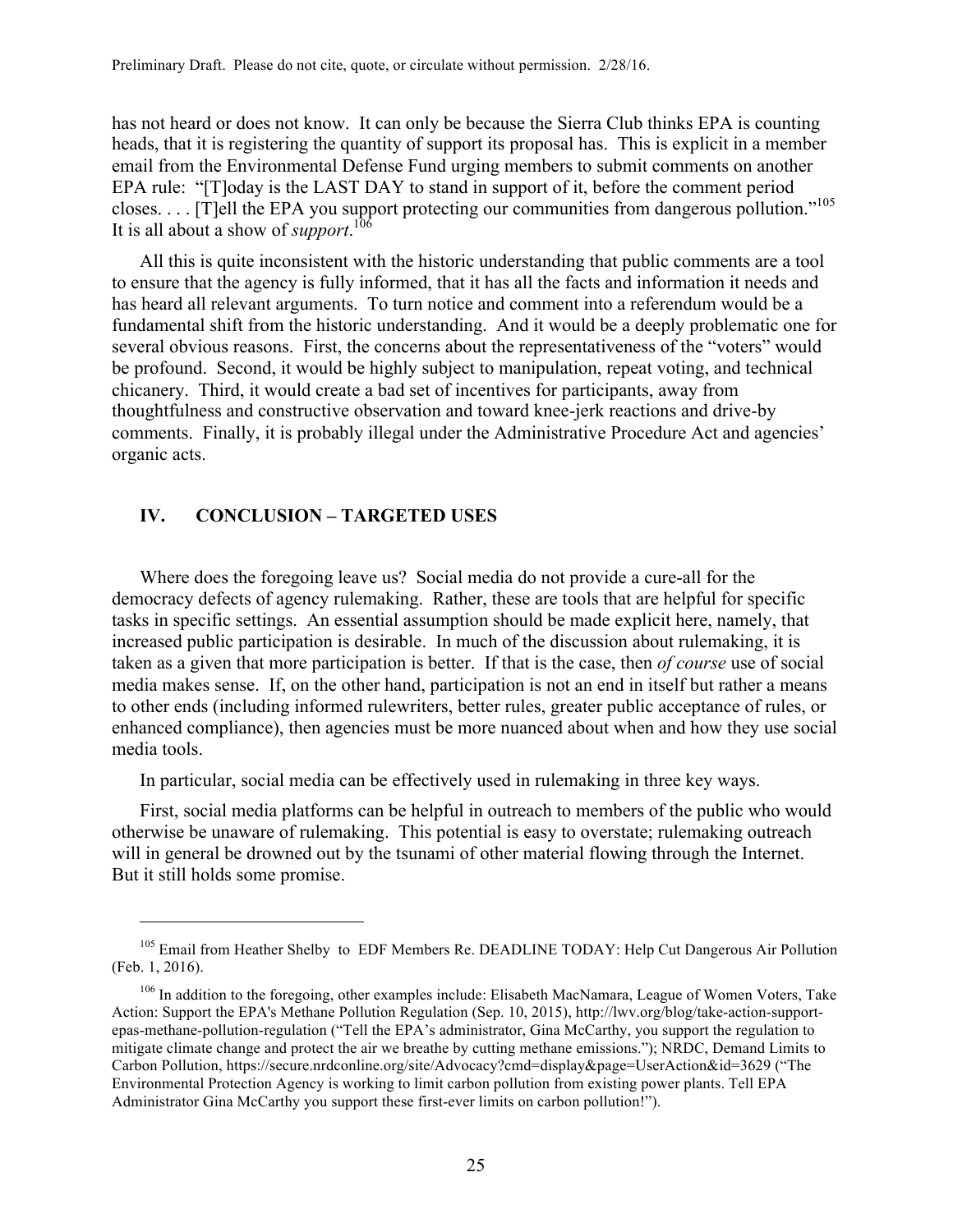has not heard or does not know. It can only be because the Sierra Club thinks EPA is counting heads, that it is registering the quantity of support its proposal has. This is explicit in a member email from the Environmental Defense Fund urging members to submit comments on another EPA rule: "[T]oday is the LAST DAY to stand in support of it, before the comment period closes. . . . [T]ell the EPA you support protecting our communities from dangerous pollution."105 It is all about a show of *support*. 106

All this is quite inconsistent with the historic understanding that public comments are a tool to ensure that the agency is fully informed, that it has all the facts and information it needs and has heard all relevant arguments. To turn notice and comment into a referendum would be a fundamental shift from the historic understanding. And it would be a deeply problematic one for several obvious reasons. First, the concerns about the representativeness of the "voters" would be profound. Second, it would be highly subject to manipulation, repeat voting, and technical chicanery. Third, it would create a bad set of incentives for participants, away from thoughtfulness and constructive observation and toward knee-jerk reactions and drive-by comments. Finally, it is probably illegal under the Administrative Procedure Act and agencies' organic acts.

# **IV. CONCLUSION – TARGETED USES**

 $\overline{a}$ 

Where does the foregoing leave us? Social media do not provide a cure-all for the democracy defects of agency rulemaking. Rather, these are tools that are helpful for specific tasks in specific settings. An essential assumption should be made explicit here, namely, that increased public participation is desirable. In much of the discussion about rulemaking, it is taken as a given that more participation is better. If that is the case, then *of course* use of social media makes sense. If, on the other hand, participation is not an end in itself but rather a means to other ends (including informed rulewriters, better rules, greater public acceptance of rules, or enhanced compliance), then agencies must be more nuanced about when and how they use social media tools.

In particular, social media can be effectively used in rulemaking in three key ways.

First, social media platforms can be helpful in outreach to members of the public who would otherwise be unaware of rulemaking. This potential is easy to overstate; rulemaking outreach will in general be drowned out by the tsunami of other material flowing through the Internet. But it still holds some promise.

<sup>&</sup>lt;sup>105</sup> Email from Heather Shelby to EDF Members Re. DEADLINE TODAY: Help Cut Dangerous Air Pollution (Feb. 1, 2016).

<sup>&</sup>lt;sup>106</sup> In addition to the foregoing, other examples include: Elisabeth MacNamara, League of Women Voters, Take Action: Support the EPA's Methane Pollution Regulation (Sep. 10, 2015), http://lwv.org/blog/take-action-supportepas-methane-pollution-regulation ("Tell the EPA's administrator, Gina McCarthy, you support the regulation to mitigate climate change and protect the air we breathe by cutting methane emissions."); NRDC, Demand Limits to Carbon Pollution, https://secure.nrdconline.org/site/Advocacy?cmd=display&page=UserAction&id=3629 ("The Environmental Protection Agency is working to limit carbon pollution from existing power plants. Tell EPA Administrator Gina McCarthy you support these first-ever limits on carbon pollution!").